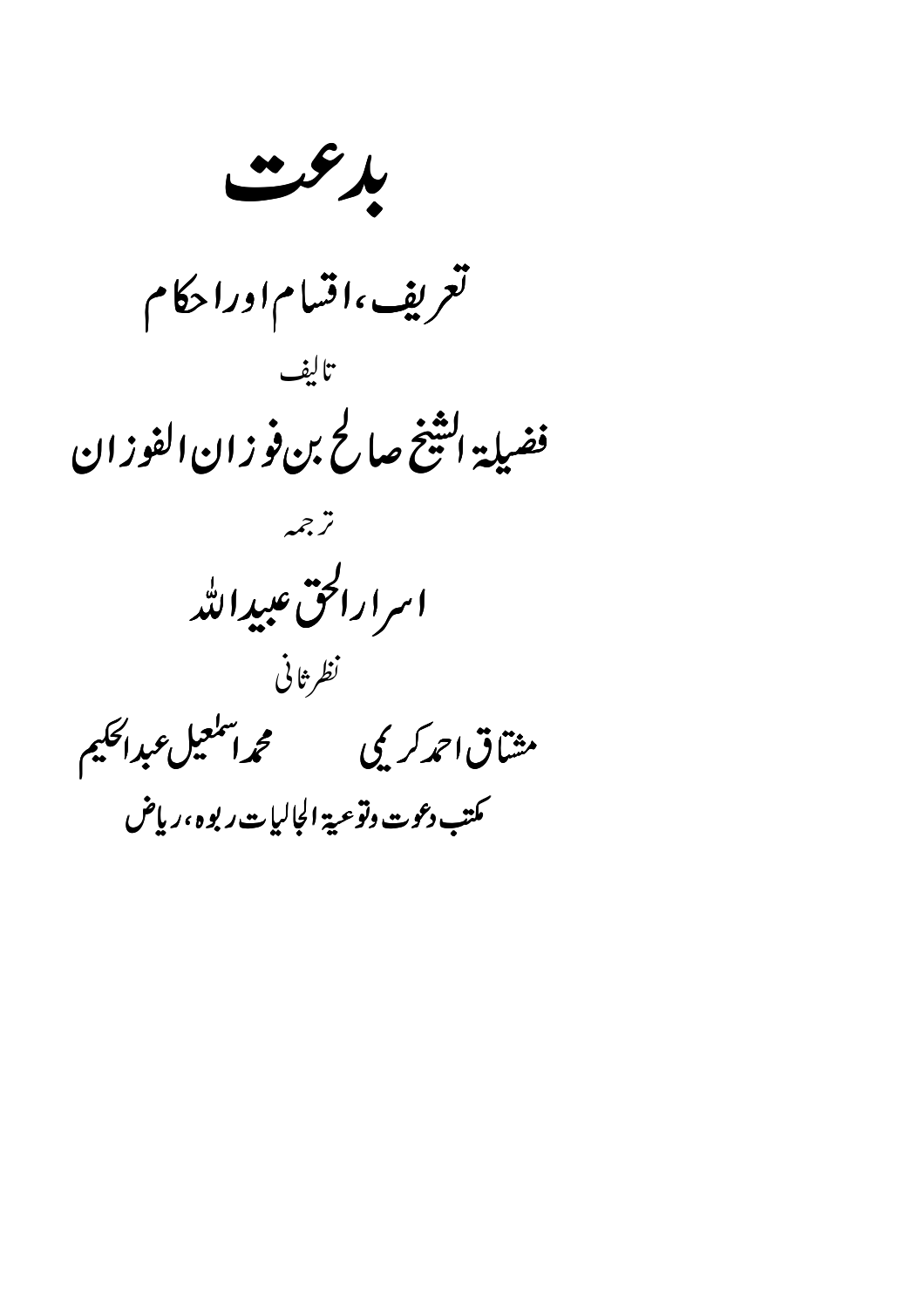$\mathcal{L}$ تعريف ،اقسام اورا حكام تالف فضيلة التثنج صالح بن فوزان الفوزان ترجمه اسرارالحق عبيدالله نظر ثانى مثتاق احمدكريكي فسنتحجج اتنكعبل عبداككيم كمتب دعوت وتوعية الجالبات ربوه ،رياض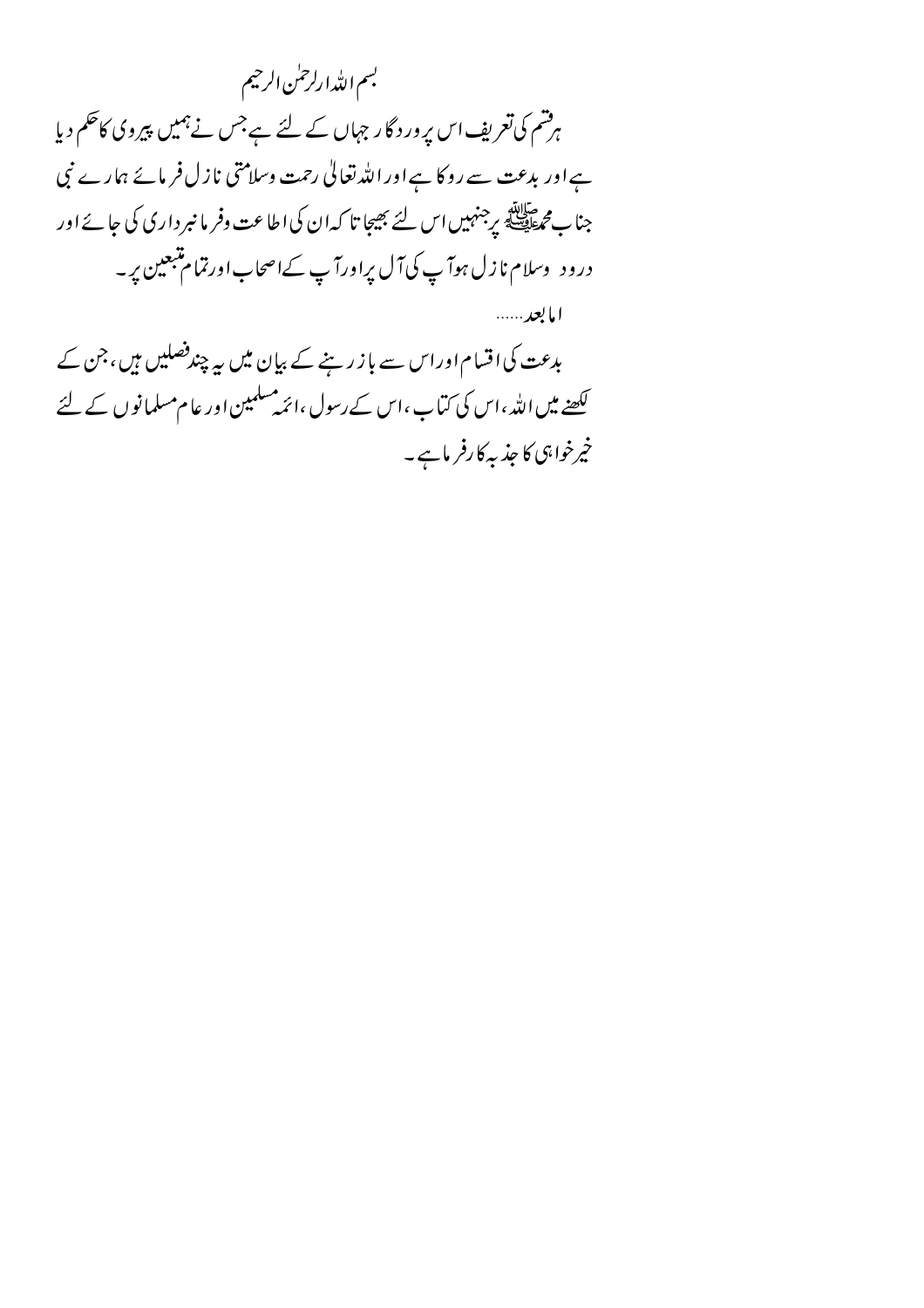بسم اللدا رلرحلن الرحيم ہرشم کی تعریف اس پر ور د گار جہاں کے لئے ہے جس نے ہمیں پیروی کاحکم دیا ہےاور بدعت سے روکا ہےاور اللہ تعالیٰ رحمت وسلامتی نازل فرمائے ہمارے نبی جناب م حالة.<br>جناب محمطة السلطنية برجنهبيں اس لئے بھیجا تا كہ ان كى اطاعت وفر ما نبر دارى كى جائے اور درود وسلام نا زل ہوآ پ کی آل پراورآ پ کے اصحاب اورتمام متبعین پر ۔ امايعد ……

بدعت کی اقسام اوراس سے باز رہنے کے بیان میں یہ چندفصلیں ہیں، جن کے کھنے میں اللہ ،اس کی کماب ،اس کے رسول ،ائمہ مسلمین اور عام مسلمانوں کے لئے خپرخواہی کاجذبہ کارفر ماہے۔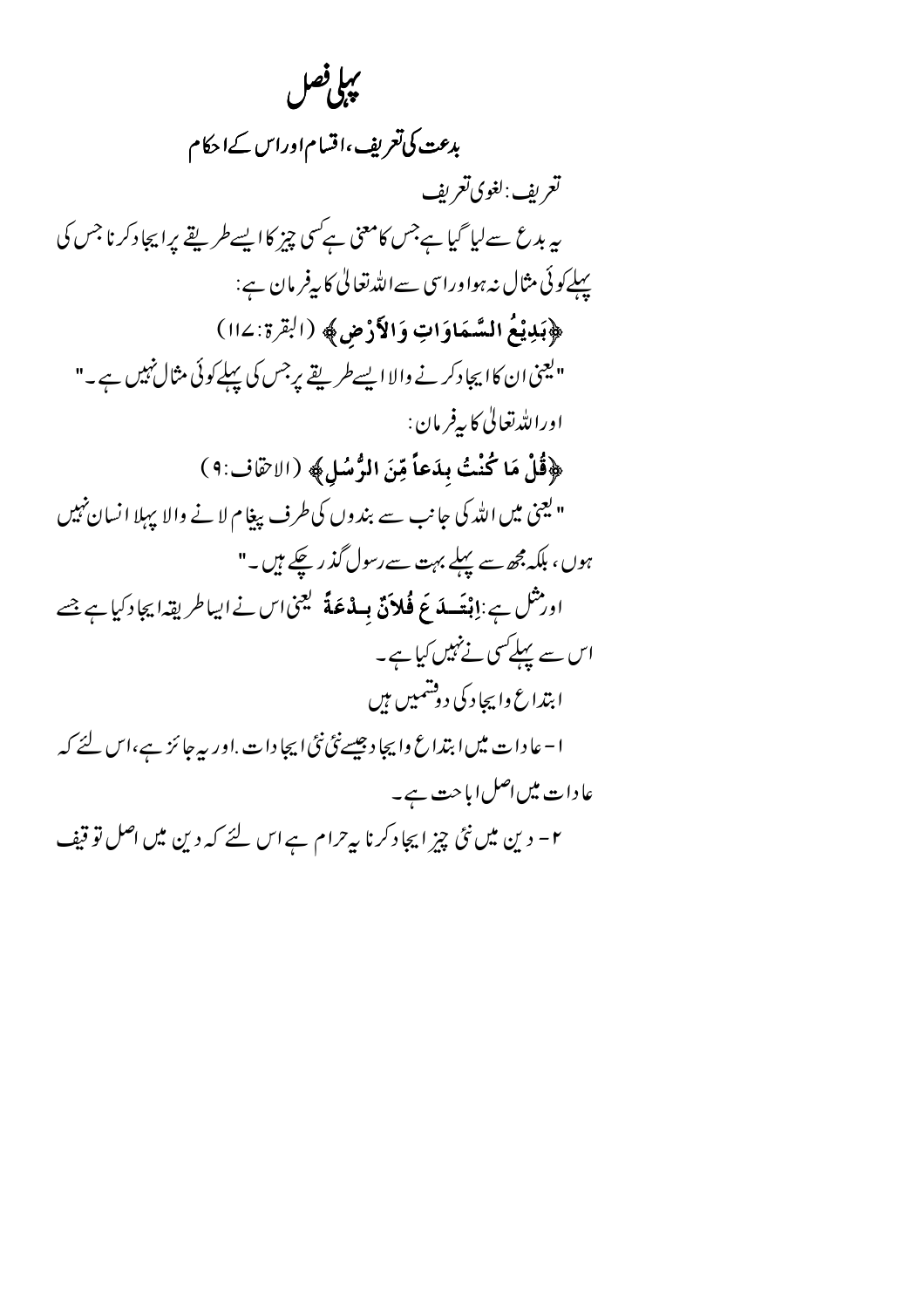بهلى فصل بدعت کی تعریف ،اقساماوراس کےاحکام تعريف:لغوي تعريف یہ بدع سےلیا گیا ہےجس کامعنی ہےکسی چیز کا ایسے طریقے پراپجاد کرنا جس کی پہلے کوئی مثال نہ ہواوراسی سےاللہ تعالیٰ کا بیفر مان ہے: ﴿بِذِيْعُ السَّمَاوَاتِ وَالْأَرْضِ﴾ (الْقِرَة: ١١٤) "یعنی ان کا ایجادکر نے والا ایسے طریقے پرجس کی پہلے کوئی مثال نہیں ہے۔" اوراللەتغالى كاپەفر مان : ﴿قُلْ مَا كُنْتُ بِدَعاً مِّنَ الرُّسُلِ﴾ (الاصَّاف:٩) " یعنی میں اللہ کی جانب سے بندوں کی طرف پیغام لانے والا پہلا انسان پہیں ہوں، بلکہ مجھ سے پہلے بہت سے رسول گذریکے ہیں۔" اور ثنل ہے :إِنْعَسِلَهُ عَ فُلاَنٌ بِسِدْعَةً كَيْمَىٰ اس نے ایباطر یقہ! بِجاد کیا ہے جسے اس سے پہلےکسی نے نہیں کیا ہے۔ ابتداع وابجاد کی دوشمیں ہیں ا – عا دا ت میں ابتداع وا بچا د جیسےنئی نئی ایجا دا ت .اور بیہ جائز ہے،اس لئے کہ عادات میں اصل اباحت ہے۔ ۲- دین میں نئی چیز ایجاد کرنا ہے حرام ہے اس لئے کہ دین میں اصل تو قیف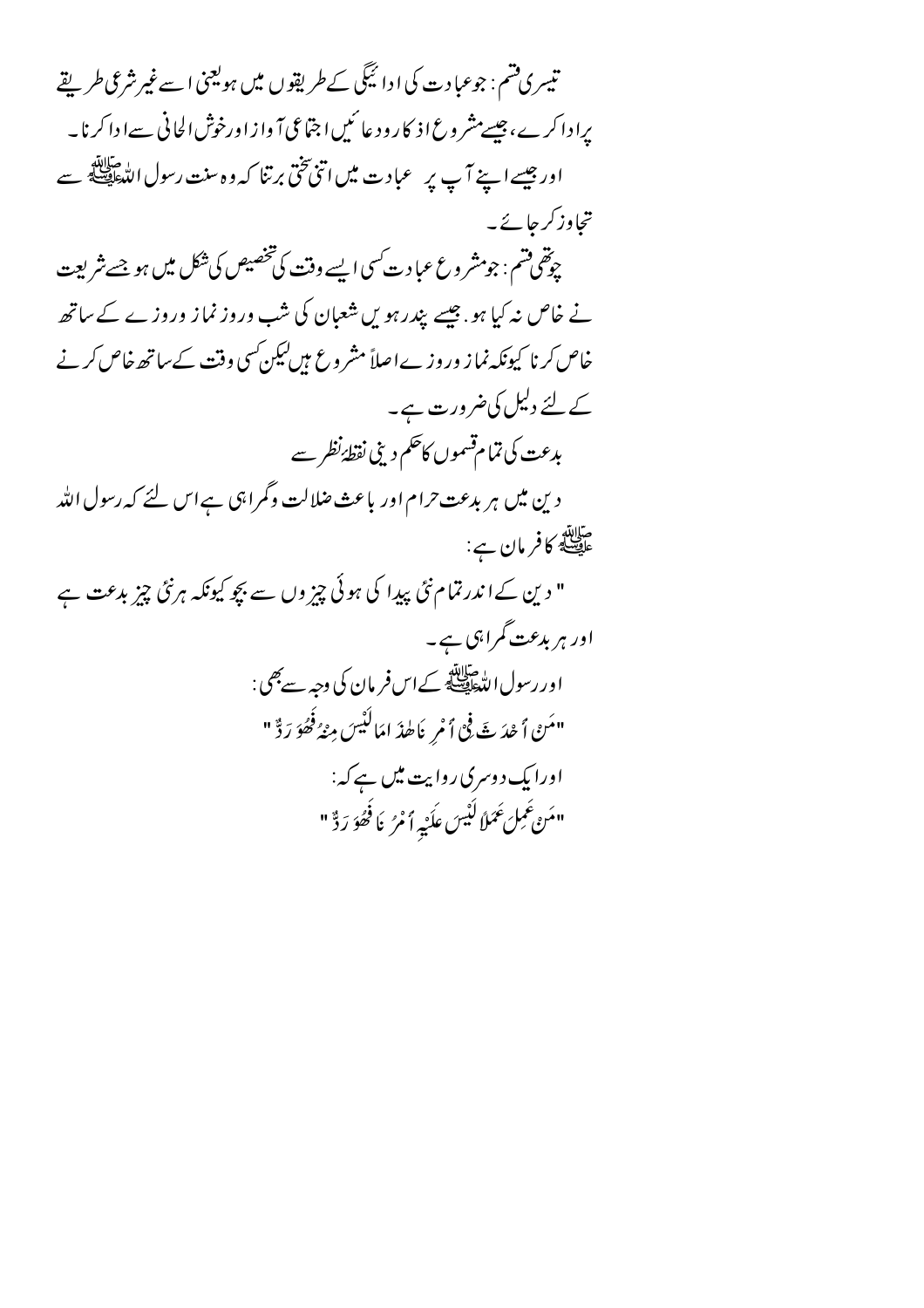تیسری قسم : جوعبادت کی ادائیگی کے طریقوں میں ہولینی اسے غیر شرعی طریقے برا دا کر ے، جیسےمشر وع اذ کا رود عا ئمیں ا جتّاعی آ واز اورخوش الحانی سے ا دا کرنا۔ اور جیسے اپنے آپ پر عبادت میں اتنی تختی برتنا کہ وہ سنت رسول اللہﷺ سے تجاوز کر جائے۔ چوقھی فتم : جومشر وع عبا د ت کسی ایسے وقت کی تخصیص کی شکل میں ہو جسے شریعت نے خاص نہ کیا ہو . جیسے بیدرہو ں شعبان کی شب وروز نماز وروز ے کے ساتھ خاص کرنا کیونکہ نما ز ور وز ےاصلاً مشر وع ہیں لیکن کسی وقت کے ساتھ خاص کر نے کے لئے دلیل کی ضرورت ہے۔ بدعت کی تمام قسموں کاحکم دینی نقطۂ نظر سے دین میں ہر بدعت حرام اور باعث ضلالت وگمراہی ہےاس لئے کہ رسول اللہ صلاته<br>عل<del>یصل</del>هٔ **کافرمان ہے**: " دین کےا ندرتمام نئی پیدا کی ہوئی چیز وں سے بچو کیونکہ ہرنئی چیز بدعت ہے اور ہر بدعت گمراہی ہے۔ اور رسول التّعاطيّة.<br>اور رسول التّعاطيّة: كےاس فر مان كي وجه سے بھي : "مَنْ أَحْدَثَ فِي أَمْرِ نَاطِدَ امَالَيْسَ مِنْهُ فَصُوَ رَدٌّ" اورایک دوسری روایت میں ہے کہ: "مَنْ عَمِلَ عَمَلاً لَيْسَ عِلَيْهِ أَمْرُ يَا فَحُرُدَ ذٌّ"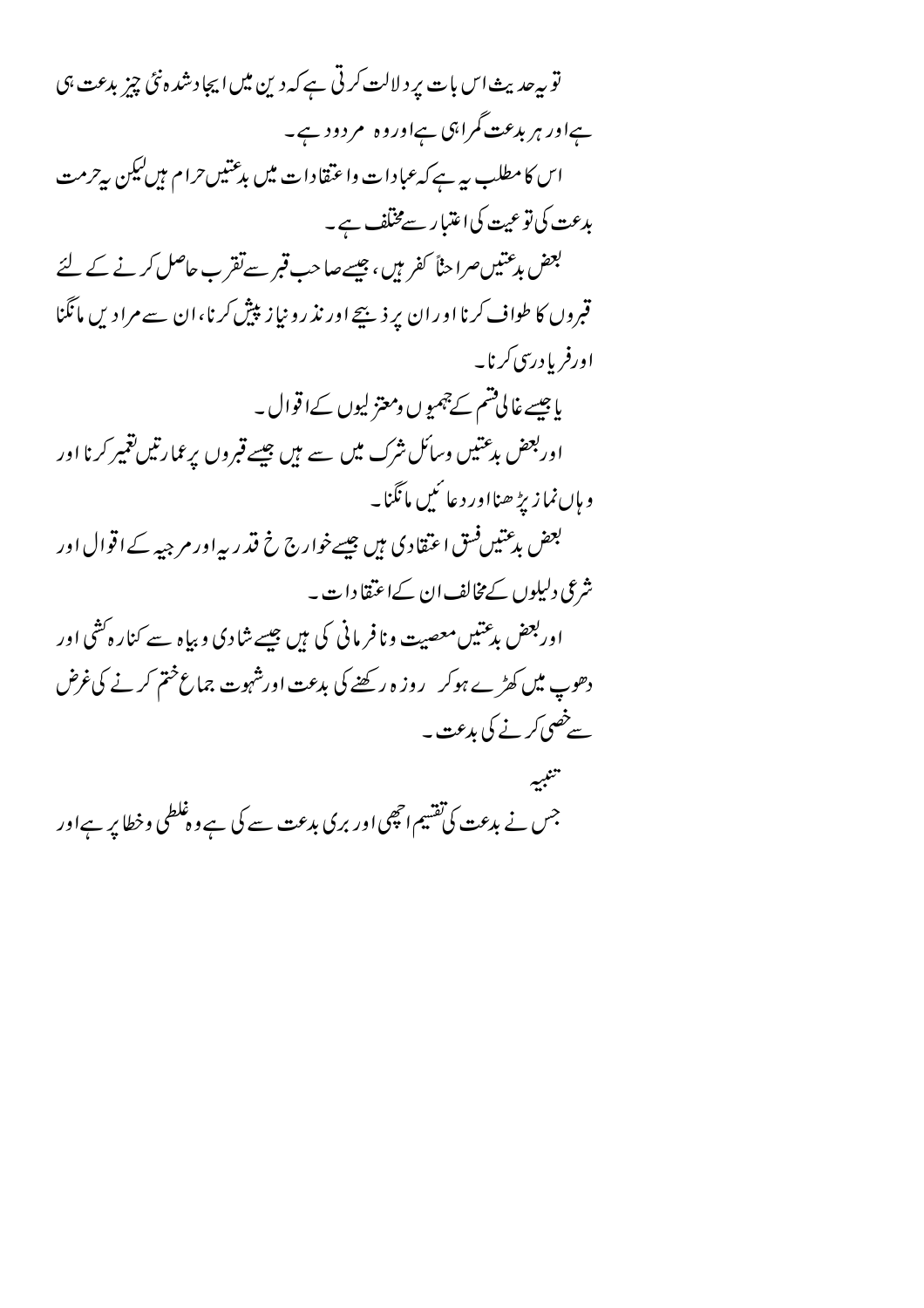تو بیرحدیث اس بات پر دلالت کرتی ہے کہ دین میں ایجادشد ہ نئی چیز بدعت ہی ہےاور ہر بدعت گمراہی ہےاوروہ مردود ہے۔ اس کا مطلب ہے ہے کہ عبادات واعتقادات میں بدعتیں حرام ہیں کیکن ہے حرمت بدعت کی تو عیت کی اعتبار سےمختلف ہے۔ بعض بدعتیں صراحناً کفر ہیں ، جیسے صاحب **قب**ر سے تقر ب حاصل کرنے کے لئے قبروں کا طواف کرنا اوران پر ذیبیۓ اور نذ رو نیاز پیش کرنا،ان سے مرادیں مانگنا اورفر بادرسی کرنا۔ یاجیسے غالی تھم کے چہمیوں ومعتزلیوں کےاقوال ۔ اوربعض بدعتیں وسائل نثرک میں سے ہیں جیسے قبروں برعمارتیں تغییر کرنا اور و ہاں نما زیڑ ھنااور دعا ئیں مانگنا۔ بعض بدعتیں فسق اعتقادی ہیں جیسے خوارج خ قدر ریہ اور مرجیہ کے اقوال اور شرعی دلیلوں کے مخالف ان کےاعتقا دات۔ اوربعض بدعتیں معصیت و نافر مانی کی ہیں جیسے شادی و بیاہ سے کنارہ گشی اور دھوپ میں کھڑے ہوکر ۔روز ہ رکھنے کی بدعت اورشہوت جماع ختم کرنے کی غرض سے خصی کرنے کی بدعت ۔ تتنبيه جس نے بدعت کی تقسیم انچھی اور بری بدعت سے کی ہے وہ غلطی وخطا پر ہےاور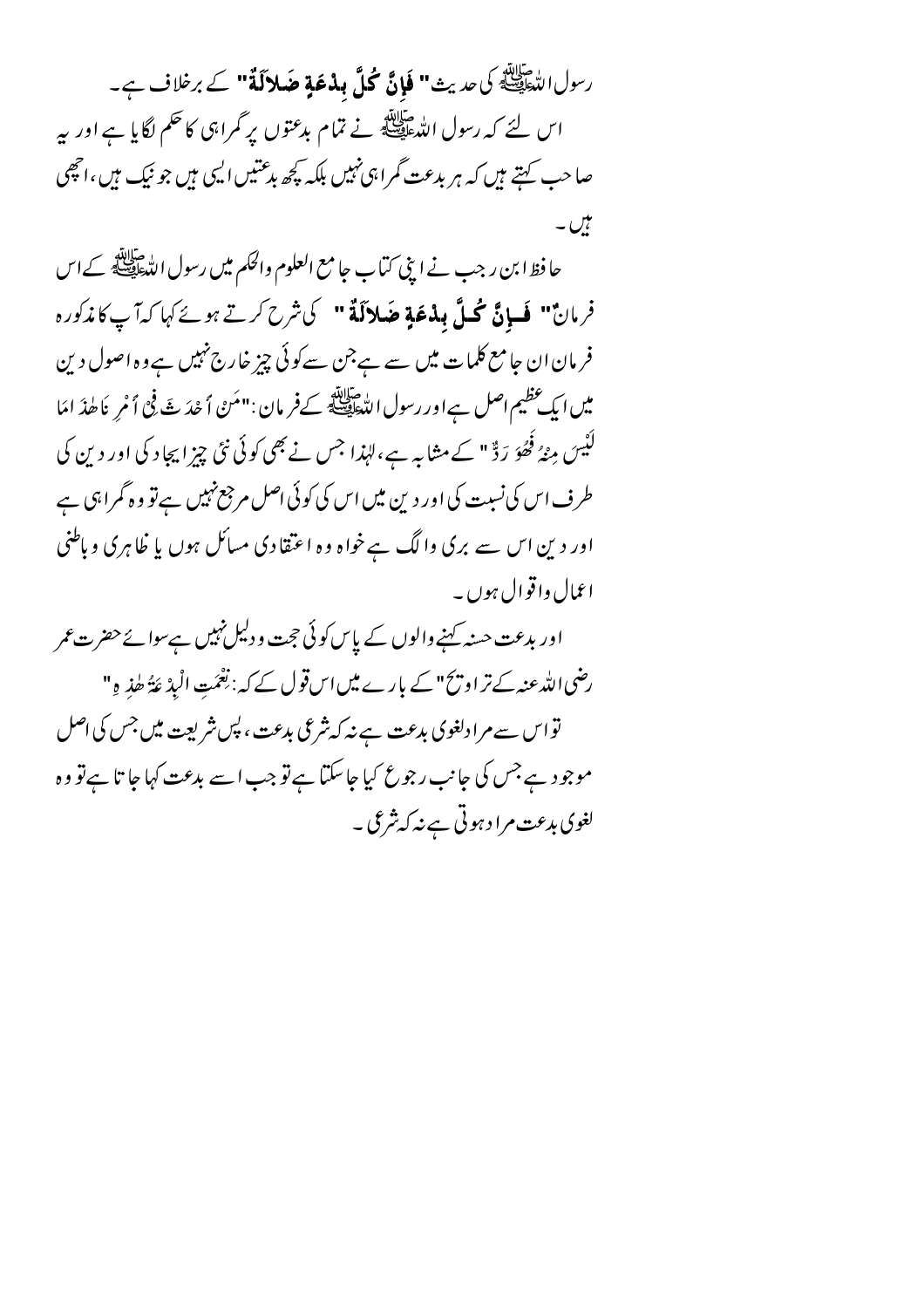رسول الدَّخَلِيَّةُ كي حديث**" فَإِنَّ كُلَّ بِذْعَةٍ ضَلالَةً"** كے برخلاف ہے۔ اس لئے کہ رسول الدّعافيہ ہے تمام بدعتوں پر گمراہی کا حکم لگایا ہے اور بہر صاحب کہتے ہیں کہ ہر بدعت گمرا ہی نہیں بلکہ کچھ بدعتیں ایپی ہیں جو نیک ہیں ،انچھی ہیں۔

حا فظ ابن ر جب نے اپنی کتاب جا مع العلوم والحکم میں رسول اللہﷺ کے اس فرمان" فَسانَّ مُحَلَّ بِلْدْعَةِ ضَلالَةٌ " كَيْثَرِحْ كَرتِهِ مِنْ كَهَا كِدَاّ بِ كَاندَكُورُه فر مان ان جامع کلمات میں سے ہے جن سے کوئی چیز خارج نہیں ہے وہ اصول دین میں ایک عظیم اصل ہےاور رسول اللّٰحافِیّة کے فرمان : "مَنْ ٱ حْدَ بْتَ فِي ٱ مْرِ يَا طٰذَ امَا لُنْیسَ مِنْہُ فَھُوَ رَدٌّ " کے مثابہ ہے،لہٰذا جس نے بھی کوئی نئی چزا بچاد کی اور دین کی طرف اس کی نسبت کی اور دین میں اس کی کوئی اصل مرجع نہیں ہےتو وہ گمراہی ہے اور دین اس سے بری والگ ہےخواہ وہ اعتقادی مسائل ہوں یا ظاہری وباطنی اعمال واقوال ہوں ۔

اور بدعت حسنہ کہنے والوں کے پاس کوئی حجت ودلیل نہیں ہےسوا نےحضر ت عمر رضی اللہ عنہ کے تر او پی " کے بارے میں اس قول کے کہ : نِعْمَتِ الْبِدْ عَةُ طٰذِ وِ" تو اس سے مرادلغوی بدعت ہے نہ کہ شرعی بدعت ، پس شریعت میں جس کی اصل موجود ہےجس کی جانب رجوع کیا جاسکتا ہےتو جب اسے بدعت کہا جا تا ہےتو وہ لغوی بدعت مرا د ہوتی ہے نہ کہ شرعی ۔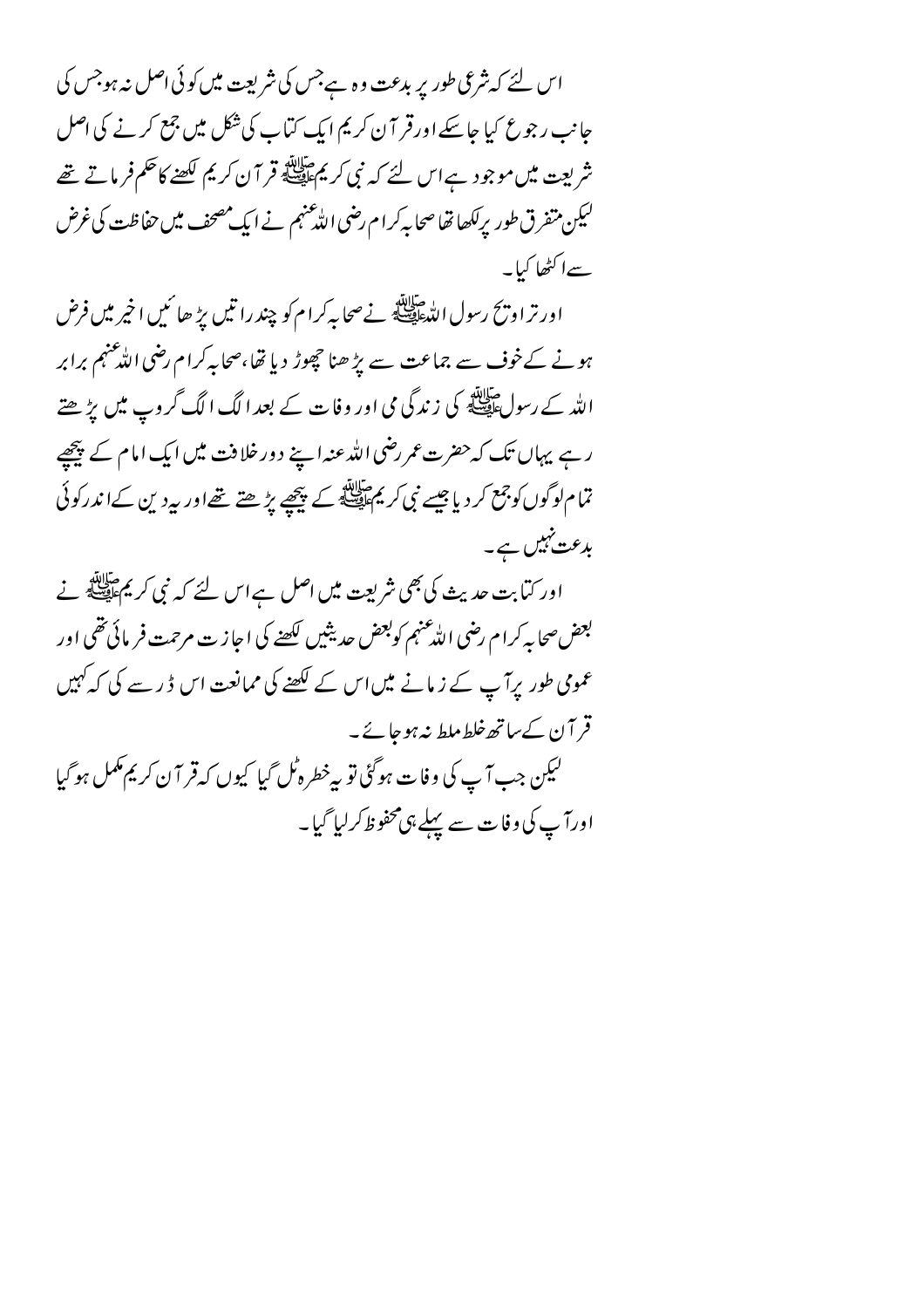اس لئے کہ شرعی طور پر بدعت وہ ہےجس کی شریعت میں کوئی اصل نہ ہوجس کی جانب رجوع کیا جاسکے اورقر آن کریم ایک کتاب کی شکل میں جمع کرنے کی اصل شریعت میں موجود ہے اس لئے کہ نبی کریمﷺ قر آن کریم لکھنے کاحکم فرماتے تھے لیکن متفرق طور برلکھا تھاصحا بہ کرام رضی اللّٰہ عنہم نے ایک مصحف میں حفاظت کی غرض سےا کٹھا کیا۔

اور تر او زنح رسول الله السيلاتين في سحابه كرا م كو چند را تين برُّ حا كبيب اخير مين فرض ہونے کےخوف سے جماعت سے پڑ ھنا حچھوڑ دیا تھا،صحابہ کرام رضی اللّٰہ عنہم برابر اللہ کے رسول ایللہ کی زندگی می اور وفات کے بعد الگ الگ گروپ میں پڑھتے رہے یہاں تک کہ حضرت عمر رضی اللہ عنہ اپنے دور خلافت میں ایک امام کے پیچھے تمام لوگوں کوجمع کر دیا جیسے نبی کر پم اپنی کے پیچھے بڑھتے تھےاور بیردین کےا ندرکوئی بدعت نہیں ہے۔

اور کتابت حدیث کی بھی شریعت میں اصل ہے اس لئے کہ نبی کر مجم<sup>طلاق</sup> نے بعض صحابه كرام رضي الله عنهم كوبعض حديثين لكصخه كي احازت مرحمت فريائي تقمي اور عمومی طور پرآ پ کے زمانے میں اس کے لکھنے کی ممانعت اس ڈ ر سے کی کہ کہیں قر آن کے ساتھ خلط ملط نہ ہو جائے ۔ ليكن جب آپ كى وفات ہوگئى تو بہ خطرہ ٹل گيا كيوں كہ قر آ ن كريم مكمل ہوگيا اورآپ کی وفات سے پہلے ہی محفوظ کرلیا گیا۔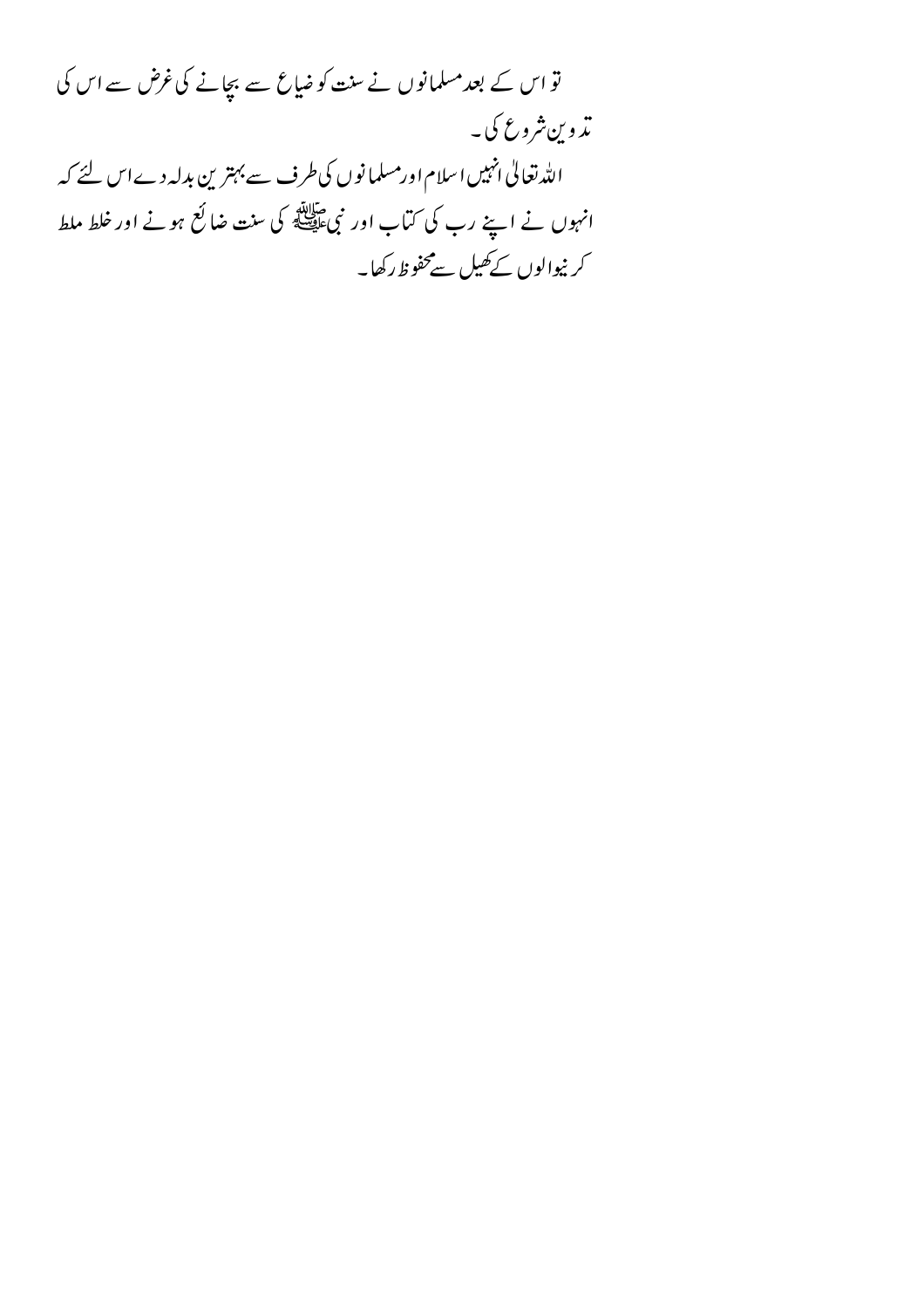تو اس کے بعد مسلمانوں نے سنت کو ضیاع سے بچانے کی غرض سے اس کی ت<sub>دوين شروع کې۔</sub> الله تعالیٰ انہیں اسلام اورمسلمانوں کی طرف سے بہترین بدلہ دےاس لئے کہ انہوں نے اپنے رب کی کتاب اور نبیﷺ کی سنت ضائع ہونے اور خلط ملط کر نیوالوں کے کھیل سےمحفوظ رکھا۔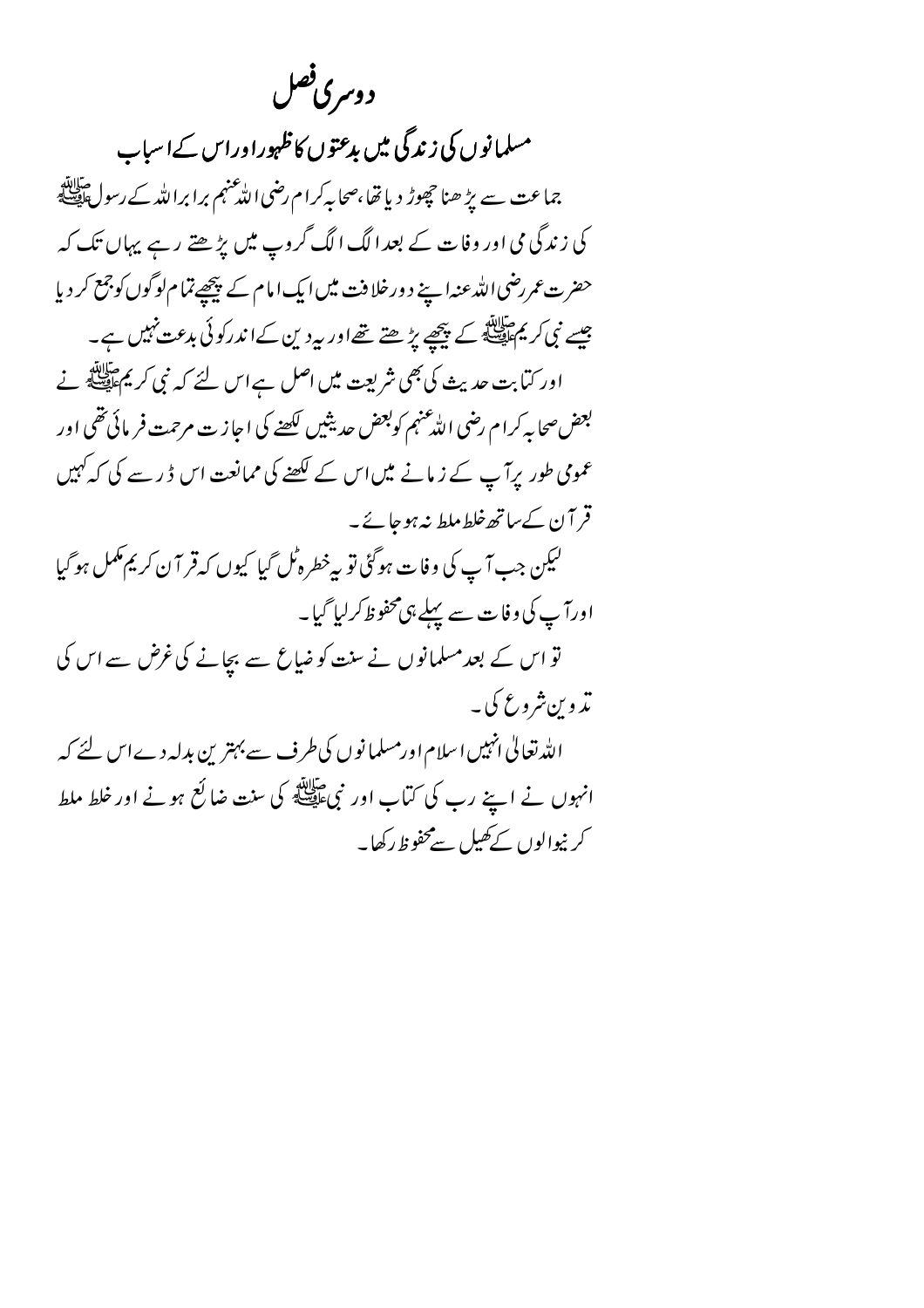د وسری فصل

مسلمانوں کی زندگی میں بدعتوں کاظہوراوراس کےاسباب جماعت سے بڑ ھنا حچوڑ دیا تھا،صحابہ کرام رضی اللّٰہ عنہم برابراللّٰہ کے رسولﷺ کی زندگی می اور وفات کے بعد الگ الگ گروپ میں بڑھتے رہے پہاں تک کہ حضرت عمر رضی اللہ عنہ اپنے د ورخلا فت میں ایک امام کے پیچھے تمام لوگوں کوجمع کر دیا جیسے نبی کر پیچاپی کے پیچھے پڑھتے تھےاور بیردین کےاندرکوئی بدعت نہیں ہے۔ اور کتابت حدیث کی بھی شریعت میں اصل ہے اس لئے کہ نبی کر یم علاقیہ نے بعض صحابه كرام رضي الدُّعنهم كوبعض حديثين لكصِّر كي اجازت مرحمت فر مائي تقي اور عمومی طور پرآ پ کے زمانے میںاس کے لکھنے کی ممانعت اس ڈ ر سے کی کہ کہیں قر آن کے ساتھ خلط ملط نہ ہوجائے۔ ليكن جب آپ كى وفات ہوگئى تو پہ خطرہ ٹل گيا كيوں كہ قر آن كريم مكمل ہوگيا اورآپ کی وفات سے پہلے ہی محفوظ کرلیا گیا۔ تو اس کے بعد مسلمانوں نے سنت کو ضاع سے بچانے کی غرض سے اس کی تډ و پشروع کې په اللہ تعالیٰ انہیں اسلام اورمسلمانوں کی طرف سے بہترین بدلہ دےاس لئے کہ انہوں نے اپنے رب کی کتاب اور نبیﷺ کی سنت ضائع ہونے اور خلط ملط کر نیوالوں کے کھیل سےمحفوظ رکھا۔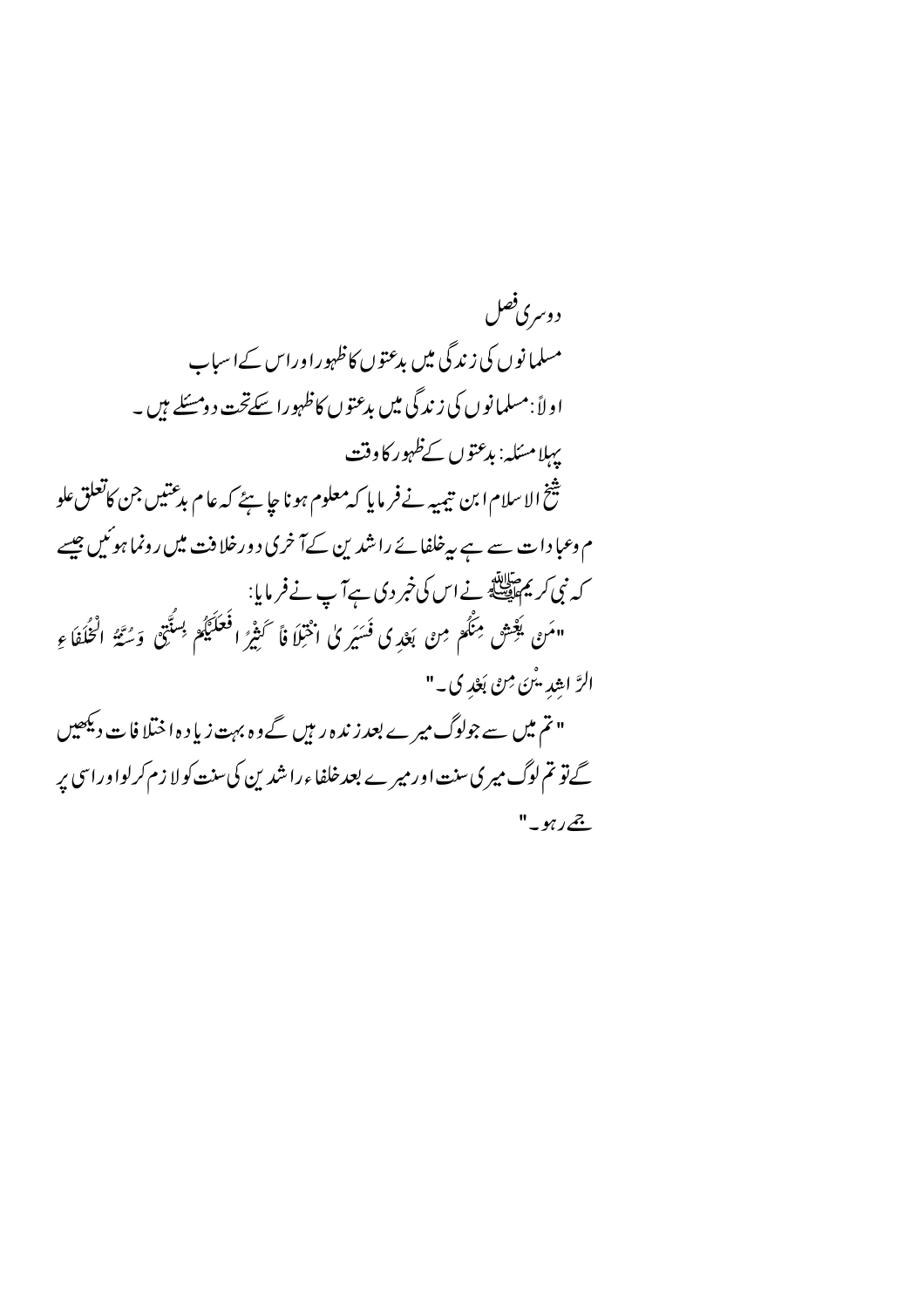د وسری فصل مسلمانوں کی زندگی میں بدعتوں کاظہوراوراس کےاسیاب اولاً :مسلمانوں کی زندگی میں بدعتوں کاظہورا سکےتحت د ومسّلے ہیں ۔ يہلامسكه: بدعتوں كےظہور كاوقت شخ الاسلام ابن تيميه نے فر مايا كه معلوم ہونا ج<u>ا س</u>ئے كہ عام بدعتيں جن كاتعلق علو م وعبا دات سے ہے پیرخلفائے راشدین کےآخری دورخلافت میں رونما ہوئیں جیسے کہ نبی کریم اللہ نے اس کی خبر دی ہے آپ نے فرمایا:<br>۔ .<br>"مَنْ يَعْشِ مِنْكُمْ مِنْ بَعْدِ كِ فَسَيَرِ كِلّْ اخْتِلَا فَا َكَثِيرٌ الْحَلَيْكُمْ بِسُنَّتِي وَسُنَّةُ الْخُلُفَاءِ الرَّ اهِيدِ بِنْنَ مِنْ بَعْدِ ي \_" " تم میں سے جولوگ میرے بعد زندہ ریں گے وہ بہت زیا د ہ اختلا فات دیکھیں گے تو تم لوگ میری سنت اور میرے بعد خلفاءراشد ین کی سنت کولا زم کرلواوراسی پر  $"$ ےرہو۔"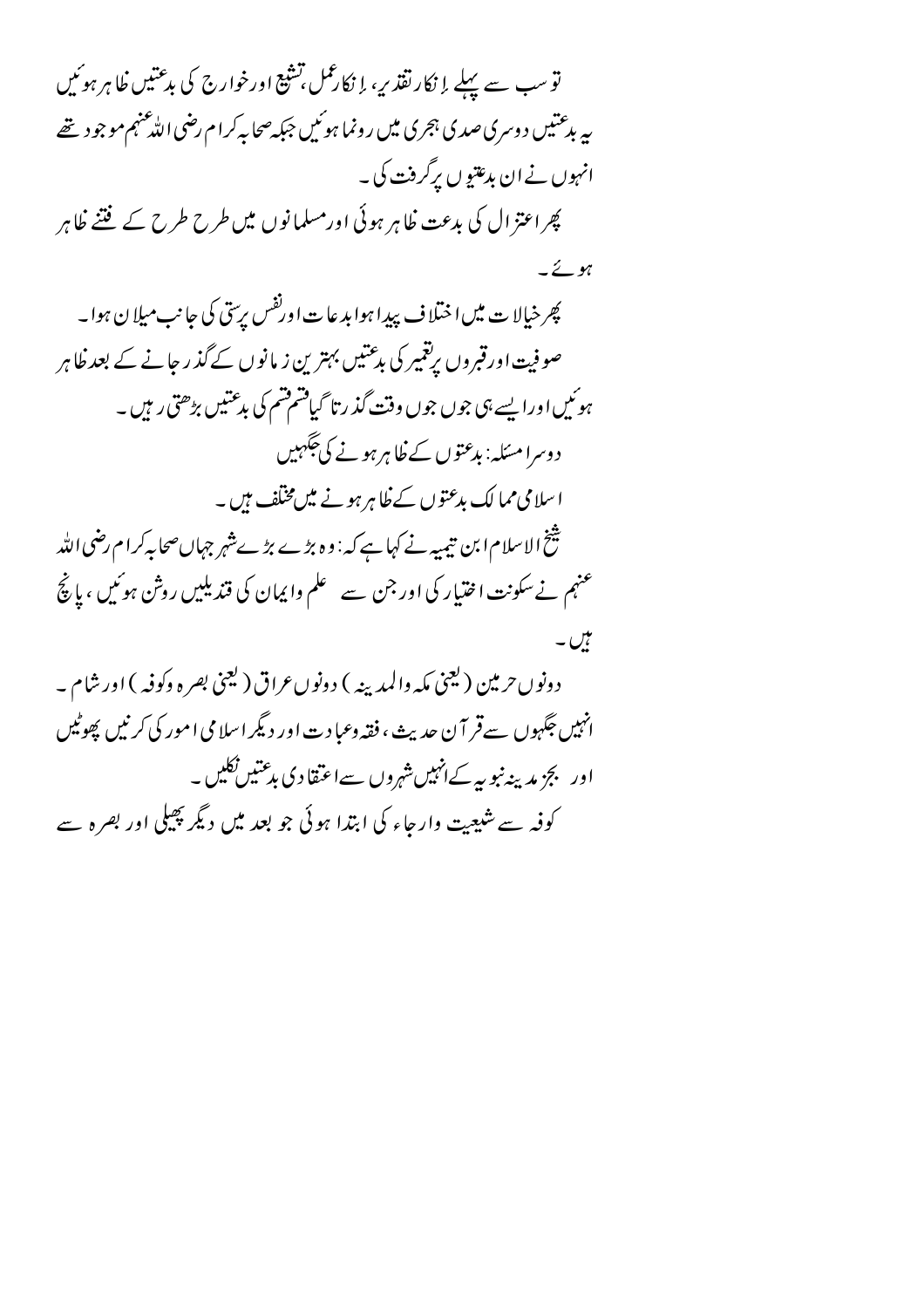تو سب سے پہلے اِ نکار نقذیر، اِ نکارممل تشیع اورخوارج کی بدعتیں ظاہر ہوئیں په بدعتیں د وسری صدی ہجری میں رونما ہوئیں جبکہ صحابہ کرام رضی اللّٰه عنہم موجود تھے انہوں نے ان بدعتیو ں برگرفت کی ۔ پھر اعتز ال کی بدعت ظاہر ہوئی اورمسلمانوں میں طرح طرح کے فتنے ظاہر  $-2\nu$ پھر خیالا ت میں اختلا ف بیب<sub>د</sub>ا ہوا بد عا ت اور<sup>نفس</sup> برسی کی جانب میلا ن ہوا۔ صوفیت اورقبروں پرتغییر کی بدعتیں بہترین زیانوں کے گذر جانے کے بعد ظاہر ہوئیںاورا پسے ہی جوں جوں وقت گذرتا گیافتم فتم کی بدعتیں بڑھتی رہیں۔ د وسرا مسکه: بدعتوں کے ظاہر ہونے کی حَکہیں اسلامی مما لک بدعتوں کے ظاہر ہونے میں مخلف ہیں۔ شخ الاسلام ابن تیمیہ نے کہا ہے کہ : وہ بڑے بڑےش<sub>ہر</sub> جہاںصحابہ کرام رضی اللہ عنہم نے سکونت اختیار کی اور جن سے علم وایمان کی قندیلیں روش ہوئیں ، پانچ میں۔ د ونو ں حرمین (کیجنی مکہ والمدینہ ) د ونو ں عراق (کیجنی بصر ہ وکوفہ ) اور شام ۔ انہیں جگہوں سےقر آن حدیث ، فقہ وعبا دت اور دیگر اسلامی امور کی کرنیں پھوٹیں اور بجزیدینپوییہ کےانہیںشہروں سےاعتقادی بدعتیں نکلیں ۔ کوفہ سے شیعیت وارجاء کی ابتدا ہوئی جو بعد میں دیگر پھیلی اور بصرہ سے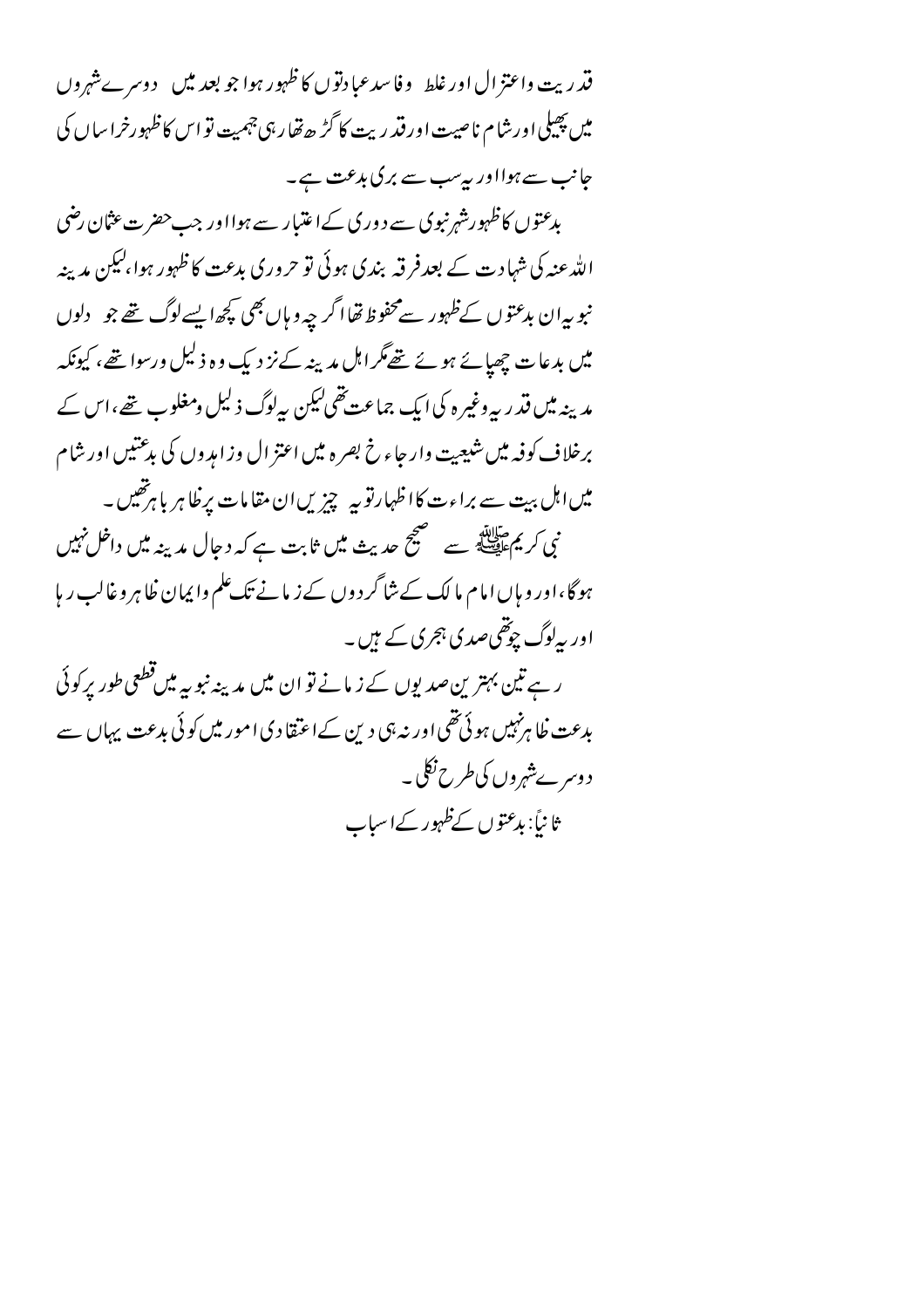قدريت واعتز ال اورغلط \_وفاسدعيادتوں كاظہور ہوا جو بعد ميں \_ دوسرےشہروں میں پھیلی اورشام ناصیت اور قدر بہت کا گڑ ھ تھار ہی جہمیت تو اس کا ظہورخرا ساں کی جانب سے ہوااور بہ سب سے بر کی بدعت ہے۔

بدعتوں کاظہورشہ نبوی سے د وری کےاعتیار سے ہوااور جب حضر ت عثان رضی اللہ عنہ کی شہاد ت کے بعدفر قبہ بندی ہوئی تو حروری بدعت کا ظہور ہوا،لیکن مدینہ نبوبہ ان بدعتوں کےظہور سےمحفوظ تھا اگر چہ و ہاں بھی کچھ ایسےلوگ تھے جو \_ دلوں میں بدعات چھپائے ہوئے تھےمگراہل مدینہ کے نز دیک وہ ذلیل ورسوا تھے، کیونکہ مدینہ میں قدر پہ وغیر ہ کی ایک جماعت تھی کیکن پہلوگ ذلیل ومغلوب تھے،اس کے برخلاف کوفیہ میں شیعیت وار جاء خ بصر ہ میں اعتز ال وزامدوں کی بدعتیں اور شام میں اہل بہت سے براءت کا اظہارتو بہ چزیں ان مقامات برِ ظاہر باہرتھیں ۔ نی کریم عالقہ<br>نبی کریم علیقہ سے مستحیح حدیث میں ثابت ہے کہ دجال مدینہ میں داخل نہیں ہوگا،اور و ہاں امام ما لک کے شاگر دوں کے زیانے تک علم وا پمان ظاہر وغالب ریا اور پہلوگ چوتھی صدی ہجری کے ہیں۔ ر ہے تین بہتر ین صدیوں کے زیانے تو ان میں مدینہ نبو یہ میں قطعی طور برکوئی بدعت ظاہر نہیں ہوئی تھی اور نہ ہی دین کے اعتقادی امور میں کوئی بدعت پہاں سے د وسر پےشہروں کی طرح نکل ۔ ثانیاً: بدعتوں کےظہور کےاسیاب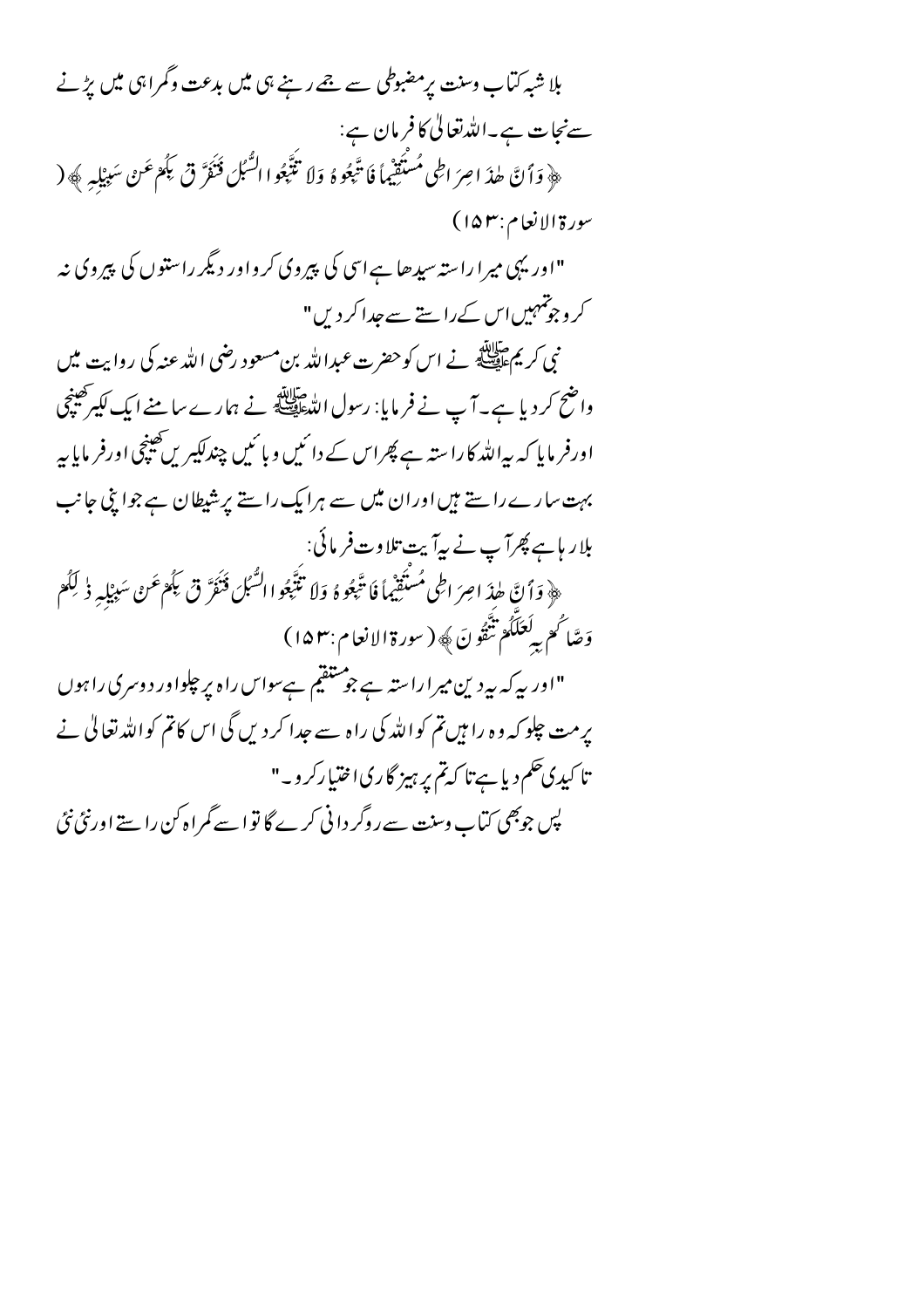بلا شبہ کتاب وسنت پر مضبوطی سے جے رہنے ہی میں بدعت وگمراہی میں بڑنے سےنجات ہے۔اللہ تعالیٰ کافرمان ہے: ﴿ وَأَنَّ طِدَ اصِرَ اطِي مُسْتَقِيماً فَا تَّبِعُوهُ ۚ وَلاَ تَتَّبِعُوا السُّبُلَ فَنَفَرَّ قِي بَكُمْ عَنْ سَبِيْلِهِ ﴾ ( سورة الإنعام:١۵٣) "اوریہی میرا راستہ سیدھا ہے اسی کی پیروی کرواور دیگر راستوں کی پیروی نہ کر وجوتمہیں اس کے راستے سے جدا کر دیں" نبی کریم علاقائد<br>نبی کریم علیقی ہے اس کو حضرت عبداللہ بن مسعود رضی اللہ عنہ کی روایت میں واضح کر دیا ہے۔آپ نے فر مایا: رسول اللہﷺ نے ہمارے سامنے ایک لکیرکھینچی اورفر مایا کہ بیراللہ کا راستہ ہے پھراس کے دائمیں و بائمیں چندلکیریں کھینچی اورفر مایا بیر بہت سارے راستے ہیں اوران میں سے ہرایک راستے پر شیطان ہے جوابی جانب بلار ہاہے پھرآ پ نے بیرآ بیت تلاوت فر مائی: ﴿ وَأَنَّ طِدَ اصِرَ اطِي مُسْتَقِيْهاً فَا تَّبِعُوهُ وَلَا تَتَّبِعُوا السُّبُلَ فَنَفَرَّ قَ بَكُمْ عَنْ سَبِيْلِيه ذٰ لِكُمْ وَصَّاكُمْ بِدَكْعَلَكُمْ تَتّْقُونَ ﴾ ( سورة الإنعام : ١۵٣) "اور پہ کہ بیرد ین میراراستہ ہے جو ستقیم ہےسواس راہ پر چلواور دوسری راہوں یرمت حلو کہ وہ را ہیں تم کواللہ کی راہ سے جدا کر دیں گی اس کاتم کواللہ تعالیٰ نے تا کیدی حکم دیا ہے تا کہ تم پر ہیز گاری اختیارکر و۔" پس جوبھی کتاب وسنت سے روگر دانی کرے گا تو اسے گمراہ کن را ستے اورنٹی نٹی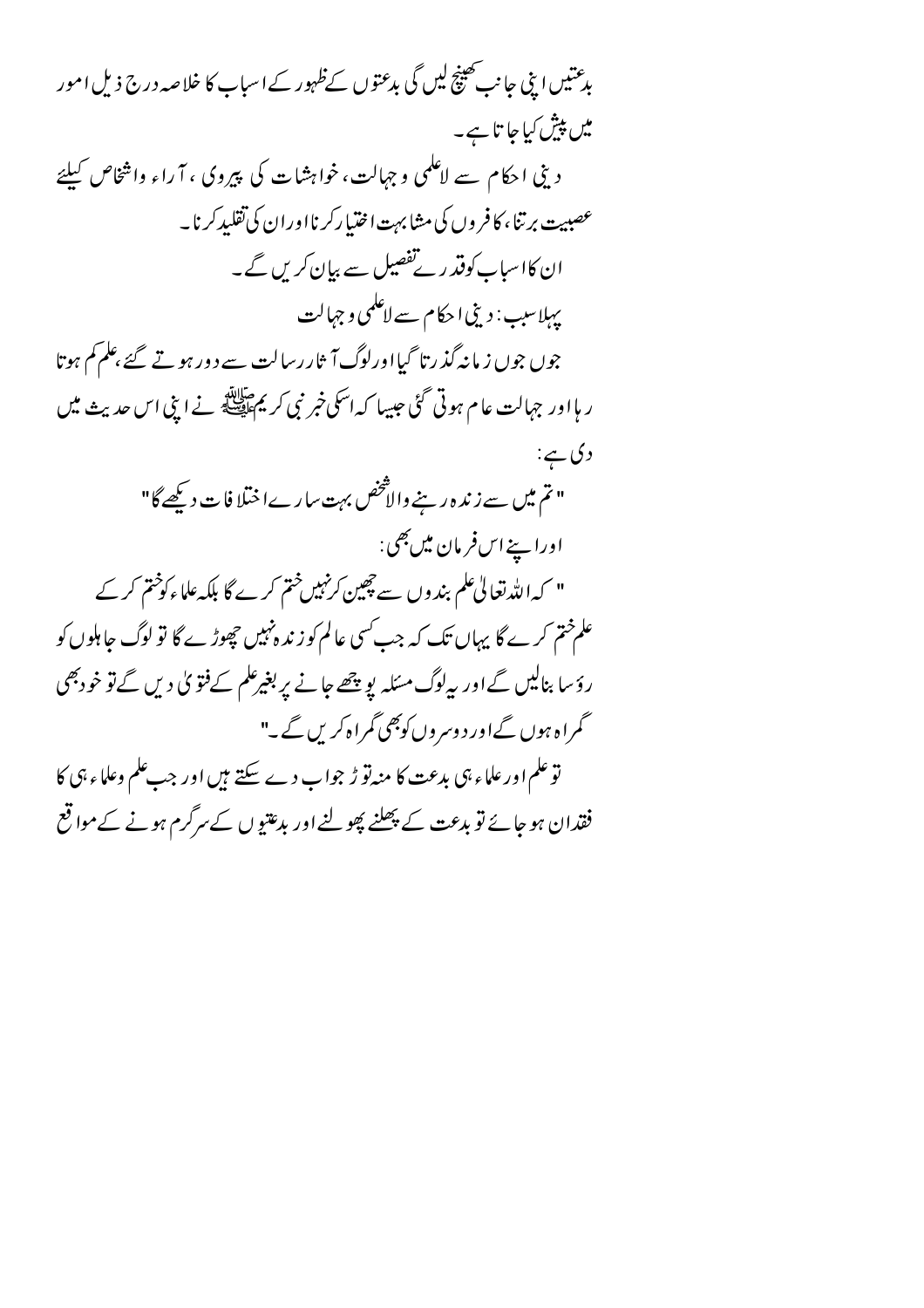بدعتیں اپنی جانب تھینچ لیں گی بدعتوں کےظہور کے اسباب کا خلا صہ درج ذیل امور میں پیش کیا جا تا ہے۔ دینی احکام سے لاعلمی وجہالت، خواہشات کی پیروی ، آ راء واشخاص کیلئے عصبیت برتنا، کا فر وں کی مشابہت اختیارکرنااوران کی تقلیدکرنا۔ ان کااساب کوفتر رئے تفصیل سے بیان کریں گے۔ یہلاسب : دینی احکام سے لاعلمی و جہالت جوں جوں ز مانہ گذ رتا گیااورلوگ آ ثار رسالت سے د ور ہو تے گئے ،علم کم ہوتا ر ہااور جہالت عام ہوتی گئی جیسا کہ اسکی خبر نبی کر <u>پ</u>م پہلاتش نے اپنی اس حدیث **می**ں دی ہے: " تم میں سے زند ہ رہنے والاَثْخص بہت سارےاختلا فات دیکھے گا" اورايخەاس فرمان مىن بھى: " کہ اللہ تعالیٰ علم بندوں سے چھین کرنہیں ختم کرے گا بلکہ علماءکوختم کر کے علم ختم کر ے گا پہاں تک کہ جب کسی عالم کو زند ہنہیں چھوڑ ے گا تو لوگ جاہلوں کو رؤسا بنالیں گےاور پہلوگ مسکلہ پو پتھے جانے پر بغیرعلم کےفتویٰ دیں گےتو خودبھی گمراہ ہوں گےاور دوسروں کوبھی گمراہ کریں گے۔" تو علم اور علماء ہی بدعت کا منہ تو ڑ جواب دے سکتے ہیں اور جب علم وعلماء ہی کا فقدان ہو جائے تو بدعت کے پھلنے پھولنے اور بدعتیوں کے سرگرم ہونے کے مواقع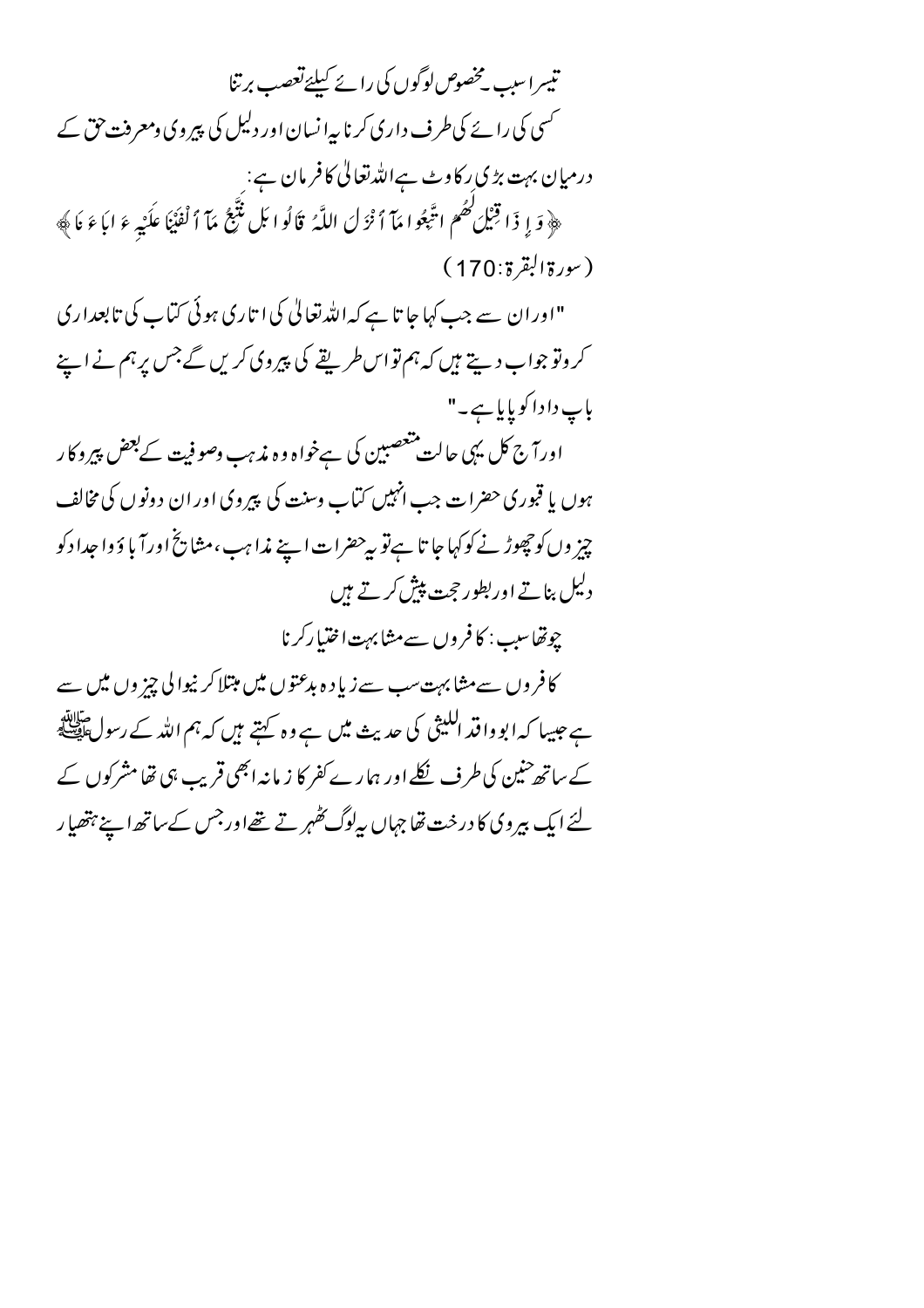تیسراسب یخصوص لوگوں کی رائے کیلئےتعصب برتنا حمسی کی رائے کی طرف داری کرنا پہ انسان اور دلیل کی پیروی دمعرفت حق کے درمیان بہت بڑی رکاوٹ ہےاللہ تعالٰی کا فرمان ہے: ِ ﴿ وَ إِ ذَا قِنْلِ كَهُمْ اتَّبِعُوا مَآ أَنْزَلَ اللَّهُ ۚ قَالُوا بَل نُتَّبِعُ مَآ ٱ لْفُنْنَا عكَيْه ءَ ابَاءَ نَا﴾  $(170:5\frac{1}{2}|\frac{1}{2}\sqrt{2})$ "اوران سے جب کہا جا تا ہے کہ اللہ تعالیٰ کی ا تاری ہوئی کتاب کی تابعداری کر وتو جواب دیتے ہیں کہ ہم تو اس طریقے کی پیروی کریں گے جس پر ہم نے اپنے باپ دا دا کو پایا ہے۔" اورآج کل یہی حالت متعصبین کی ہےخواہ وہ مذہب وصوفیت کے بعض پیروکار ہوں یا قبوری حضرات جب انہیں کتاب وسنت کی پیروی اوران دونوں کی مخالف چیز وں کو حچھوڑ نے کوکہا جا تا ہے تو پہ حضرات اپنے مذاہب ،مشایخ اورآ با ؤ وا جدا دکو دلیل بناتے اور بطور ججت پپش کرتے ہیں چوتھاسیپ : کا فروں سے مشابہت اختیا رکرنا کا فروں سےمشابہت سب سے زیادہ ہدعتوں میں مبتلا کر نیوالی چز وں میں سے ہے جیسا کہ ابو وا قد الکیثی کی حدیث میں ہے وہ کہتے ہیں کہ ہم اللہ کے رسول ﷺ کے ساتھ حنین کی طرف نکلے اور ہمارے کفر کا زیانہ ابھی قریب ہی تھا مشرکوں کے لئے ایک بیروکی کا درخت تھا جہاں پیلوگ گھہر تے تھےاورجس کے ساتھ اپنے ہتھیار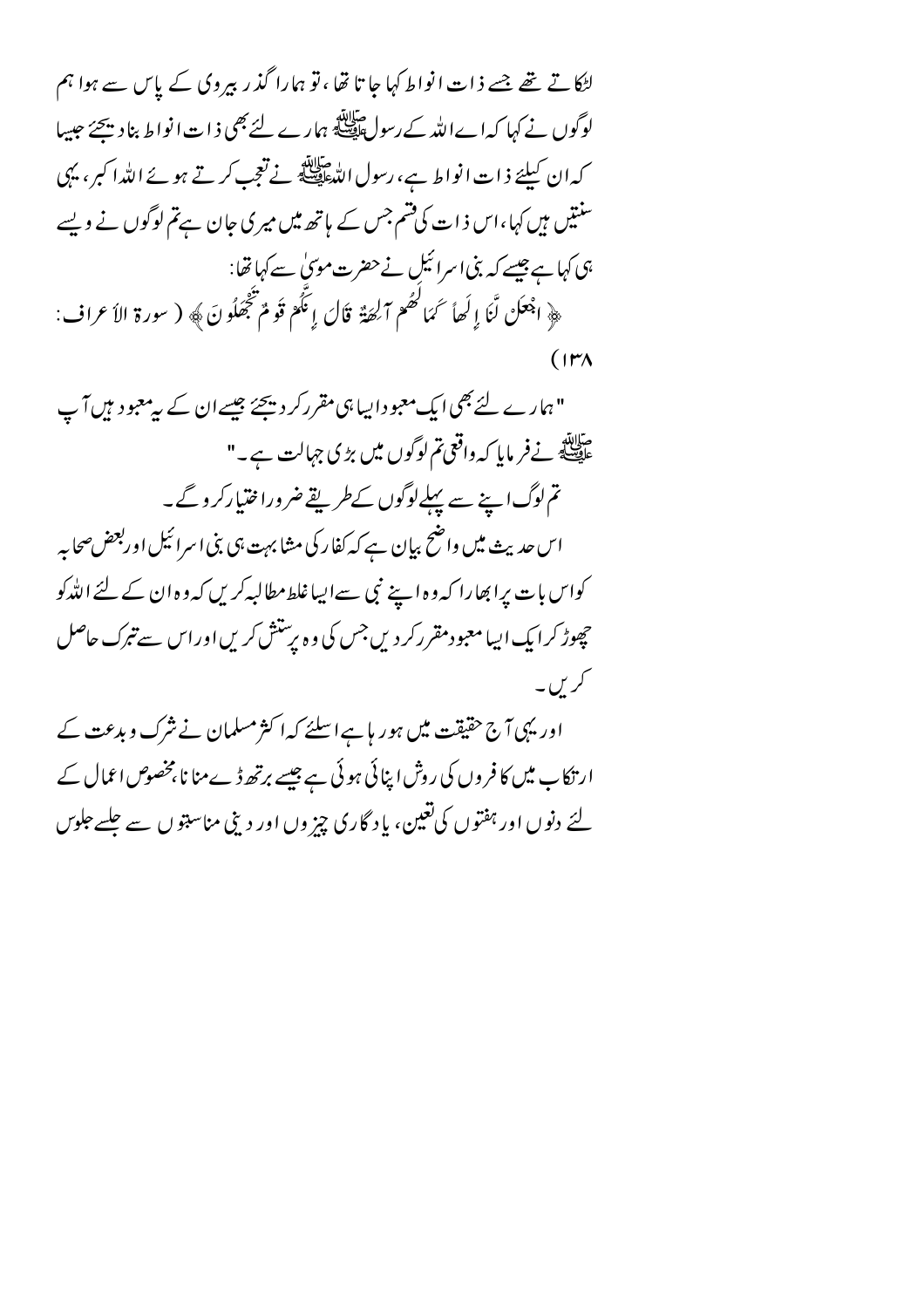لٹکا تے تھے جسے ذات انواط کہا جا تا تھا ، تو ہمارا گذر بیروی کے پاس سے ہوا ہم لوگوں نے کہا کہا ےاللہ کے رسولﷺ ہمارے لئے بھی ذات انواط بناد پیچئے جیسا كەان كىليۇ ذات انواط ہے، رسول اللّٰہﷺ نے تعجب كرتے ہوئے اللّٰہ ا كبر ، يہى سنتیں ہیں کہا،اس ذات کی قسم جس کے ہاتھ میں میری جان ہےتم لوگوں نے ویسے ہی کہا ہے جیسے کہ بنی اسرائیل نے حضرت موں ٰ سے کہا تھا: ﴿ اجْعَلْ لَّنَا إِلَهَا سَمَا كَهُمْ آلِهَةٌ قَالَ إِنَّكُمْ قَوْمٌ تَجْفَلُونَ﴾ ( سورة الأعراف:  $(11)$ 

"ہمارے لئے بھی ایک معبود اپیا ہی مقرر کر دیجئے جیسے ان کے پہ معبود ہیں آپ ۔<br>علی اللہ نے فر مایا کہ واقعی تم لوگوں میں بڑی جہالت ہے۔" تم لوگ اپنے سے پہلےلوگوں کےطریقے ضروراختیارکر وگے۔ اس حدیث میں واضح بیان ہے کہ کفار کی مثابہت ہی بنی اسرائیل اوربعض صحابہ کواس با ت پرا بھارا کہ وہ اپنے نبی سے ایباغلط مطالبہ کریں کہ وہ ان کے لئے اللّٰہ کو چھوڑ کرایک ایپا معبو دمقررکر دیں جس کی وہ برستش کریں اوراس سے تبرک حاصل کریں۔

اور یہی آج حقیقت میں ہور ہاہےاسلئے کہا کثر مسلمان نے شرک و بدعت کے ار نکا ب میں کا فر وں کی روش اپنائی ہوئی ہے جیسے برتھ ڈےمنا نا بخصوص اعمال کے لئے دنوں اور ہفتوں کی تغین، یا د گاری چز وں اور دینی مناسبتو ں سے چلسے جلوس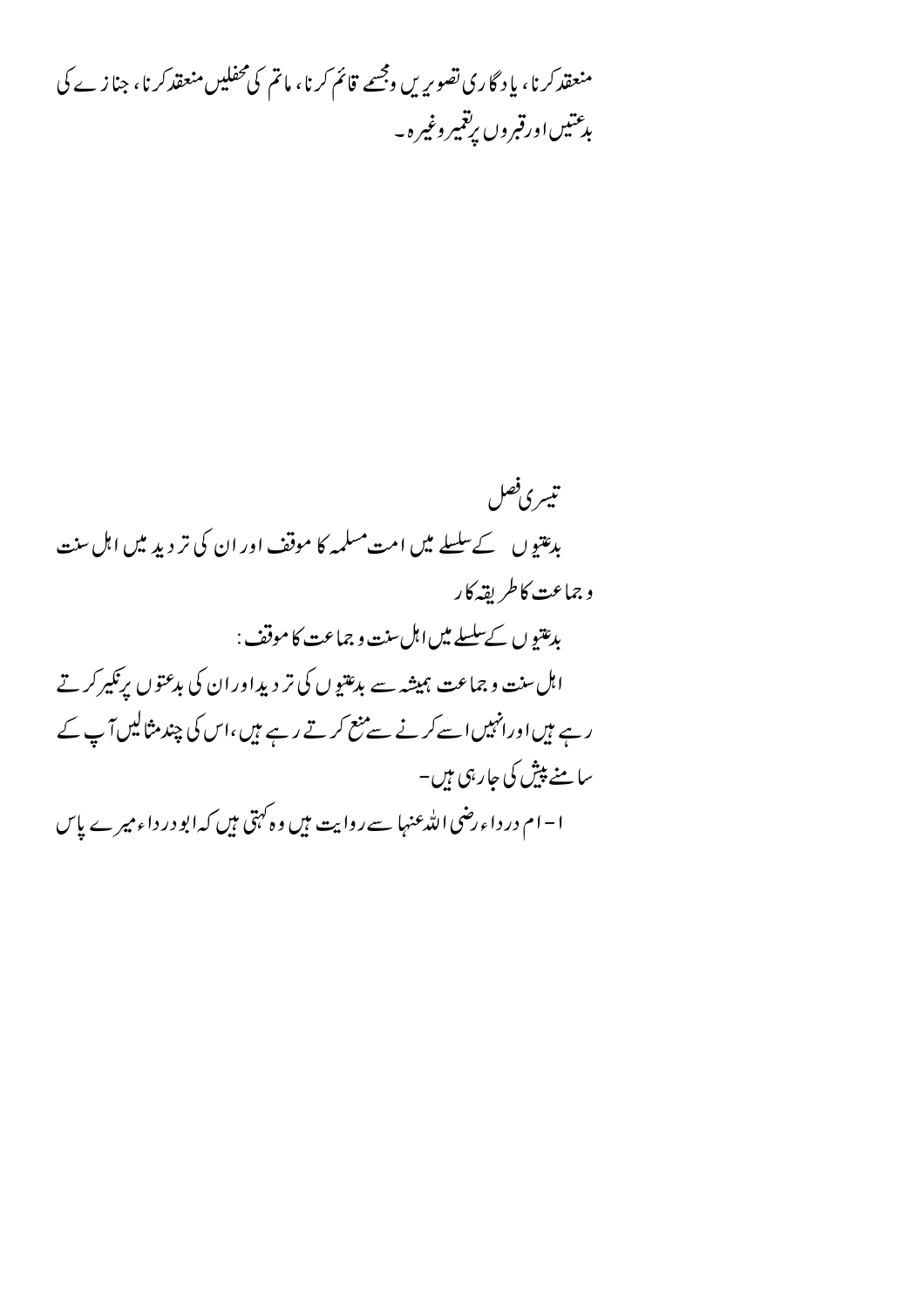منعقد کرنا، یاد گاری تصویریں وجسے قائم کرنا، ماتم کی محفلیں منعقد کرنا، جنازے کی بدعتيںاورقبروں پرتغمیر وغیرہ۔

تيسري فصل بدعتیوں کے سلسلے میں امت مسلمہ کا موقف اور ان کی تر دید میں اہل سنت وجماعت كاطريقه كار بدعتيو ں کےسلسلے میں اہل سنت و جماعت کا موقف : اہل سنت و جماعت ہمیشہ سے بدعتیوں کی تر دیداور ان کی بدعتوں پر نکیر کرتے ر ہے ہیںاورانہیں اسے کرنے سے منع کرتے رہے ہیں،اس کی چند مثالیں آپ کے سامنے پیش کی جارہی ہیں۔ ا – ام در داء رضی الله عنہا سے روایت م<del>ی</del>ں وہ کہتی میں کہ ابو در داء میر ے پ<u>ا</u>س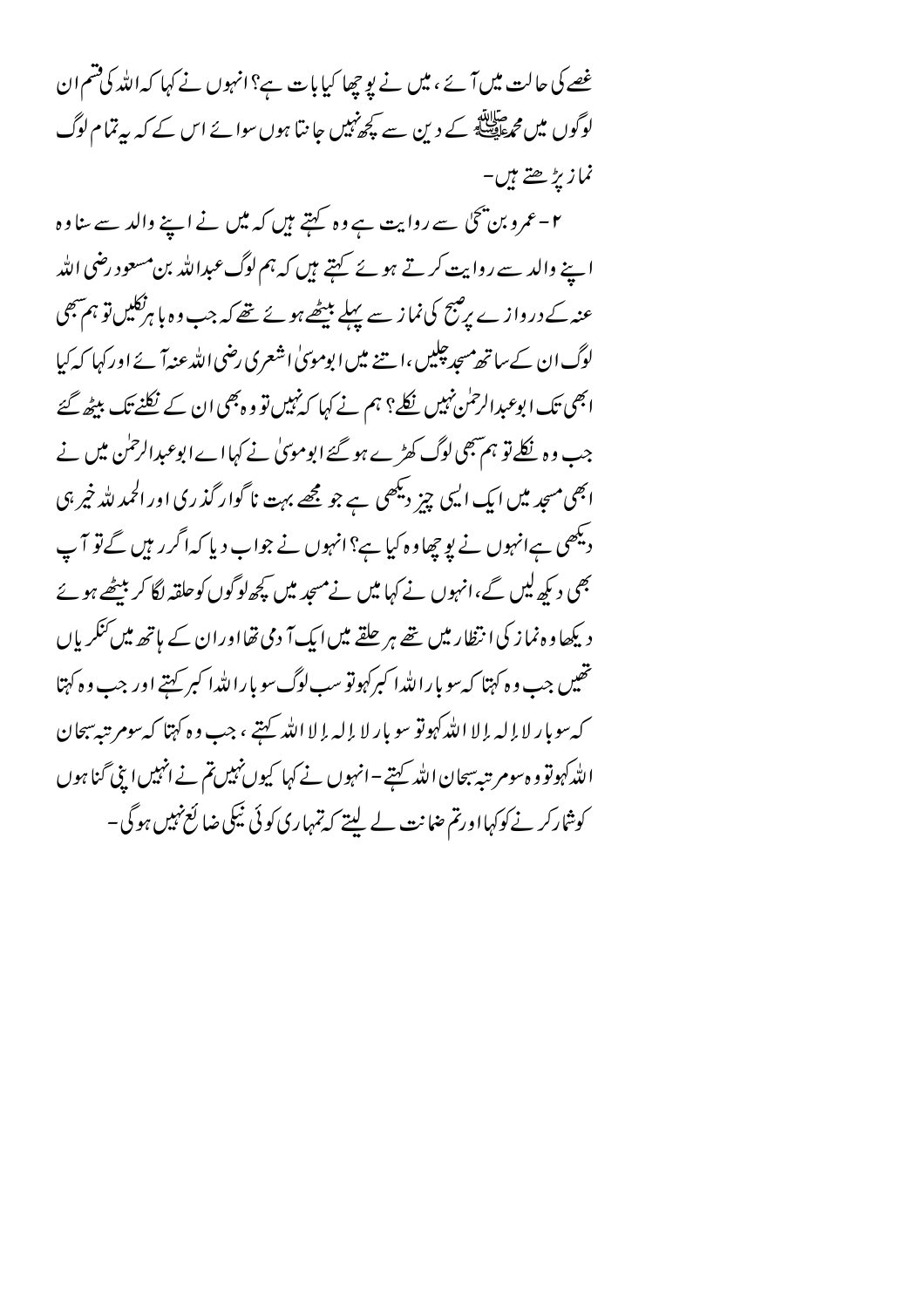غصے کی حالت میں آئے ، میں نے یو چھا کیا بات ہے؟ انہوں نے کہا کہ اللہ کی قسم ان لوگوں میں م حالاتھ کے دین سے کچھ پیں جانتا ہوں سوائے اس کے کہ بیرتمام لوگ نمازيڑھتے ہیں۔

۲ – عمرو بن پخی سے روایت ہے وہ کہتے ہیں کہ میں نے اپنے والد سے ساوہ اپنے والد سے روایت کرتے ہوئے کہتے ہیں کہ ہم لوگ عبداللہ بن مسعود رضی اللہ عنہ کے درواز ے پر صبح کی نماز سے پہلے بیٹھے ہوئے تھے کہ جب وہ با ہرنگلیں تو ہم ہمکی لوگ ان کے ساتھ مسجد چلیں ،ا ہتنے میں ا بوموںیٰ اشعری رضی اللہ عنہآ ئے اور کہا کہ کیا ابھی تک ابوعبدالرحمٰن نہیں نکلے؟ ہم نے کہا کہ نہیں تو وہ بھی ان کے نکلنے تک بیٹھ گئے جب وہ نکلےتو ہم ہجی لوگ کھڑے ہو گئے ابوموںٰ نے کہا اے ابوعبدالرحمٰن میں نے ابھی مسجد میں ایک ایسی چیز دیکھی ہے جو مجھے بہت نا گوار گذری اور الحمد للہ خیر ہی دیکھی ہےانہوں نے یو چھاوہ کیا ہے؟ انہوں نے جواب دیا کہ اگر رہیں گےتو آپ بھی دیکھ لیں گے،انہوں نے کہا میں نے مسجد میں کچھ لوگوں کوحلقہ لگا کر بیٹھے ہو ئے دیکھاوہ نماز کی انتظار میں تھے ہر حلقے میں ایک آ دی تھااوران کے ہاتھ میں کنگریاں تھیں جب وہ کہتا کہ سو با راللّٰہ ا کبرکہوتو سب لوگ سو با راللّٰہ ا کبر کہتے اور جب وہ کہتا كەسوبار لا إله إلا الله كهوتو سو بار لا إله إلا الله كتبى ، جب وه كَهْنا كەسوم تبەسجان الله كہموتو و ہ سومر تبہ سبحان الله كہتے –انہوں نے كہا كيوں نہيں تم نے انہيں اپنى گنا ہوں کوشارکر نے کوکہااورتم ضانت لے لیتے کہ تمہاری کوئی نیکی ضا لَع نہیں ہوگی –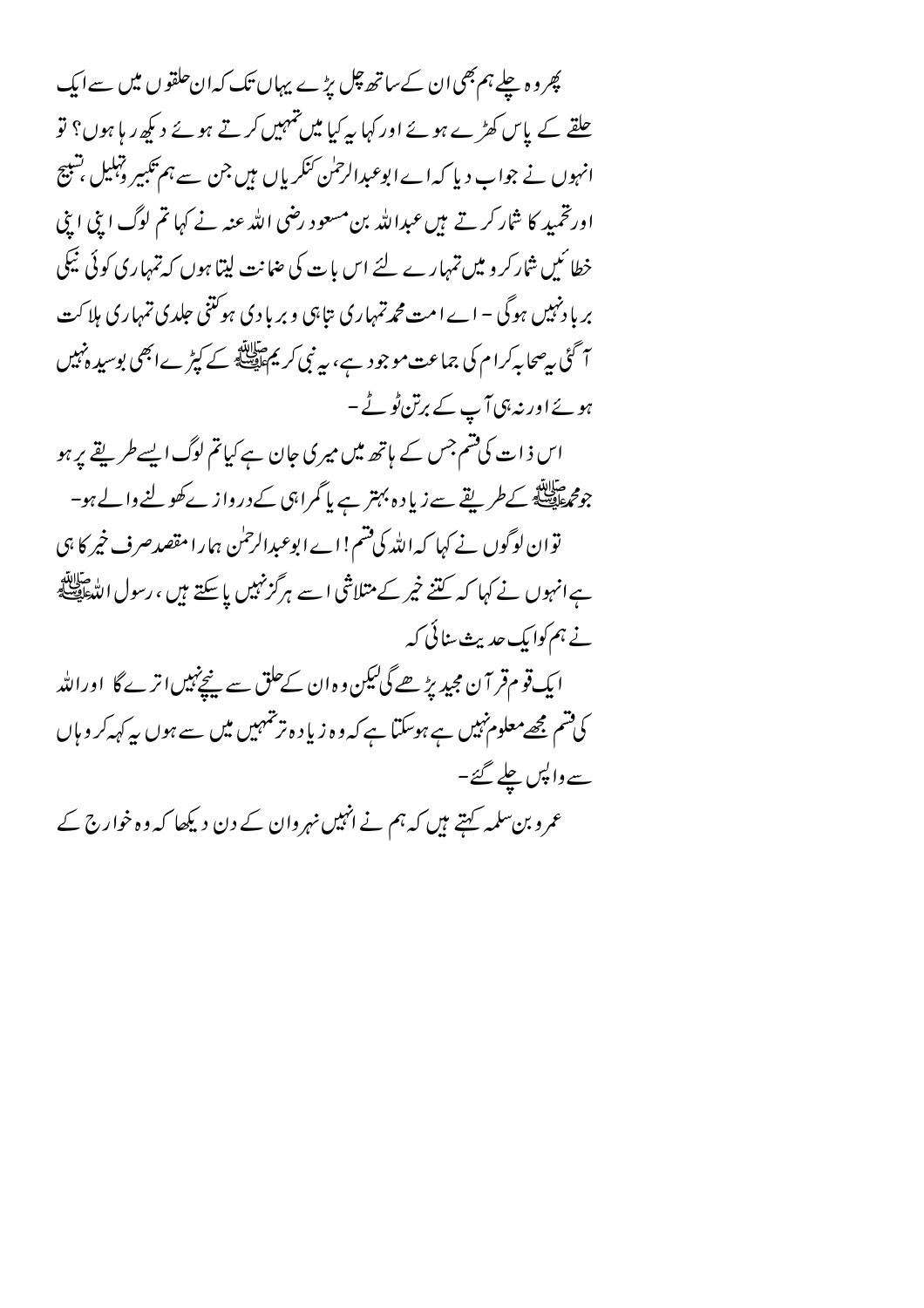پھر وہ چلے ہم بھی ان کے ساتھ چل بڑے پہاں تک کہ ان حلقوں میں سے ایک چلقے کے پاس کھڑے ہوئے اور کہا یہ کیا میں تہہیں کرتے ہوئے دیکھ ریا ہوں؟ تو انہوں نے جواب دیا کہ اے ابوعبدالرحمٰن کنگریاں ہیں جن سے ہم تکبیر دہلیل شبیح اورتخمید کا شار کرتے ہیں عبداللہ بن مسعود رضی اللہ عنہ نے کہا تم لوگ اپنی اپنی خطا ئىيں شاركرو ميں تمہارے لئے اس بات كى صانت ليتا ہوں كہ تمہارى كوئى نيكى بر یا دنہیں ہوگی – اے امت مجمہ تمہاری بتاہی و بر یا دی ہو کتنی جلدی تمہاری ہلاکت آ گئی بی<sup>ص</sup>حا بہ *کر*ام کی جماعت موجود ہے، بیرنبی کر یم اللہ کے کپڑے ابھی بوسید ہ<sup>ن</sup>ہیں ہوئے اور نہ ہی آپ کے برتن ٹو ٹے ۔ اس ذات کی قسم جس کے ہاتھ میں میر کی حان ہے کیا تم لوگ ایسے طریقے پر ہو جوم اللہ<br>جوم اللہ کے طریقے سے زیاد ہ بہتر ہے پا گمراہی کے درواز ے کھولنے والے ہو-توان لوگوں نے کہا کہ اللہ کی قسم!اے ابوعبدالرحمٰن ہما را مقصدصرف خیر کا ہی ہے انہوں نے کہا کہ کتنے خیر کے متلاشی اسے ہرگزنہیں پاسکتے ہیں ، رسول اللّٰہﷺ نے ہم کوا یک حدیث سنائی کہ ایک قوم قر آن مجید پڑھے گی لیکن وہ ان کےحلق سے پنچ نہیں اتر ے گا اوراللہ کی قسم مجھےمعلوم نہیں ہے ہوسکتا ہے کہ وہ زیا د ہ تر تہہیں میں سے ہوں ہہ کہہ کر ویاں سے واپس چلے گئے۔ عمرو بن سلمہ کہتے ہیں کہ ہم نے انہیں نہروان کے دن دیکھا کہ وہ خوارج کے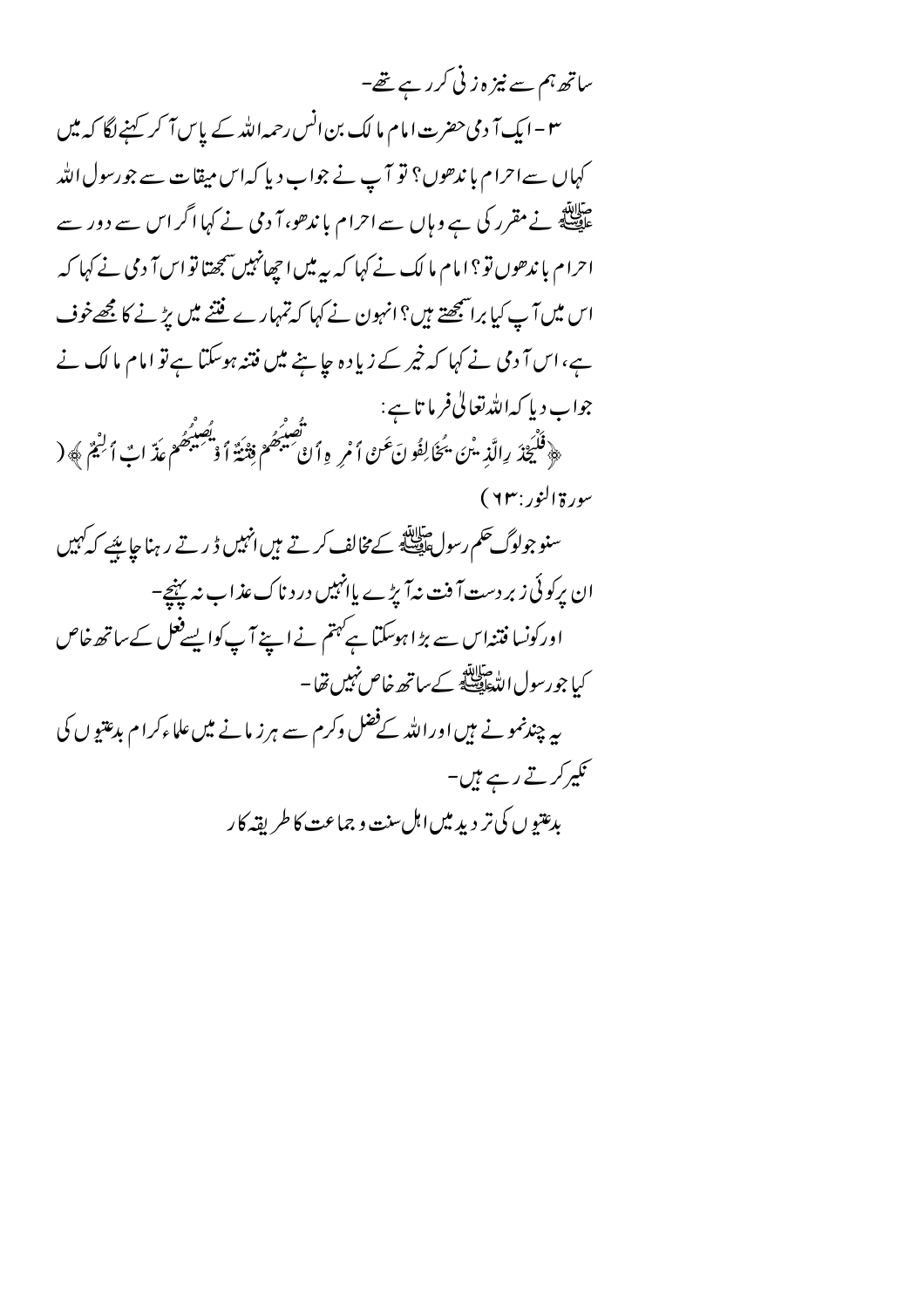ساتھ ہم سے نیز ہ زنی کرر ہے تھے-۳ – ایک آ دمی حضرت امام ما لک بن انس رحمہ اللہ کے پاس آ کر کہنے لگا کہ میں کہاں سےاحرام با ندھوں؟ تو آپ نے جواب دیا کہاس میقات سے جورسول اللہ ۔<br>علیمنا کچھ نے مقرر کی ہے وہاں سے احرام با ندھو، آ دمی نے کہا اگر اس سے دور سے احرام با ندھوں تو ؟ امام ما لک نے کہا کہ سہ میں اچھانہیں سمجھتا تو اس آ دمی نے کہا کہ اس میں آپ کیا براشمجھتے ہیں؟ انہون نے کہا کہ تمہارے فتنے میں پڑنے کا مجھےخوف ہے،اس آ دمی نے کہا کہ خیر کے زیاد ہ جا ہنے میں فتنہ ہوسکتا ہے تو امام ما لک نے جواب دیا کہ اللہ تعالیٰ فرما تا ہے: ب ريا حہ ملد من ر د ر د -.<br>﴿ فَلْيَحْذَ رِالَّذِ يَنَ يَحْأَلِفُو نَ عَنْ أَمْرِ وِأَنْ صَيْبَهُمْ فِتْنَةٌ أَوْ صَيْبَهُمْ عَذَ ابْ أَلْيُمْ ﴾ ( سورة النور : ٢٣) سنو جولوگ حکم رسولﷺ کے مخالف کرتے ہیں انہیں ڈ رتے رہنا جاہئے کہ کہیں ان پرکوئی زبر دست آفت ندآ پڑے پاانہیں درد ناک عذاب نہ پہنچ۔ اورکونسا فتنداس سے بڑا ہوسکتا ہےکہتم نے اپنے آپ کوا پسےفعل کے ساتھ خاص کیا جورسول الڈ استان<del>ائی</del>ے کے ساتھ خاص نہیں تھا – پیہ چندنمونے ہیں اوراللہ کےفضل وکرم سے ہرز مانے میں علماءکرام بدعتیوں کی کیپرکرتے رہے ہیں۔ يدعتو ں كى تر دېدىيں اہل سنت و جماعت كا طريقه كا ر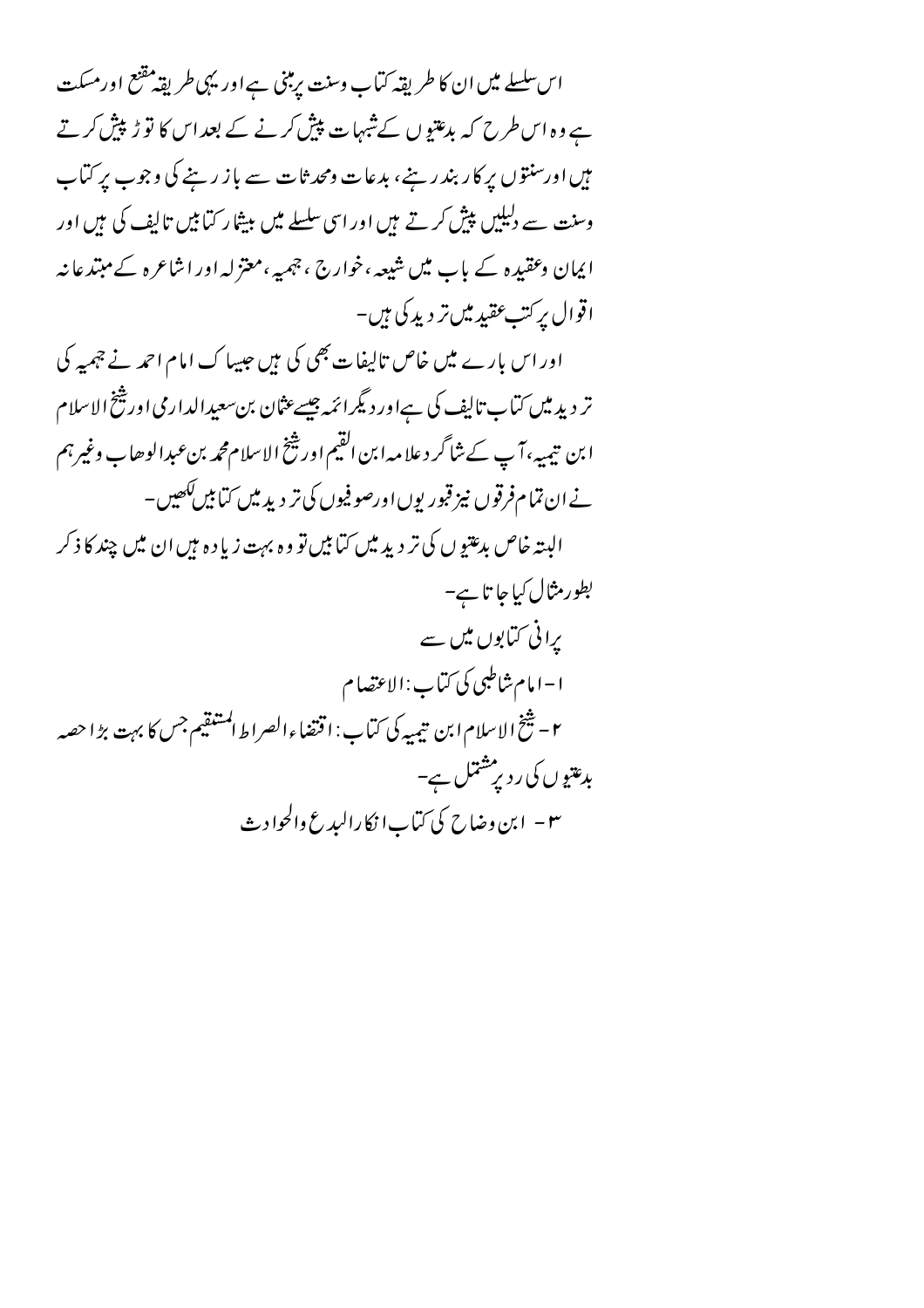اس سلسلے میں ان کا طریقہ کتاب وسنت پرمبنی ہے اور یہی طریقہ مقنع اورمسکت ہے وہ اس طرح کہ بدعتیوں کےشہرات پیش کرنے کے بعد اس کا تو ڑپیش کرتے ہیں اورسنتوں پر کار بندرینے، بدعات ومحدثات سے باز رہنے کی وجوب پر کتاب وسنت سے دلیلیں پیش کرتے ہیں اور اسی سلسلے میں بیشار کیا ہیں تالیف کی ہیں اور ایمان وعقیدہ کے باب میں شیعہ ،خوارج ، چمپہ ،معتزلہ اور اشاعرہ کے مبتدعا نیہ اقوال پرکت عقید میں تر دید کی ہیں۔

اور اس بارے میں خاص تالیفات بھی کی ہیں جیپا ک امام احمد نے جہیہ کی تر دید میں کتاب تالیف کی ہےاور دیگرائمہ جیسےعثان بن سعیدالدارمی اور شخ الاسلام ابن تيميهِ ،آپ كے شاگر دعلا مہ ابن القيم اور شخ الاسلام محمه بن عبدالوحاب وغير ہم نے ان تمام فرقوں نیز قبور یوں اورصو فیوں کی تر دید میں کتابیں ککھیں۔ الېته خاص بدغتيو ں کې تر دېيډ ميں کتابيں تو وه بہت زيا د ه بيں ان ميں چند کا ذکر بطور مثال کیا جا تا ہے۔ یرانی کتابوں میں سے ا – امام شاطبی کی کتاب : الاعتصا م ٢ – شخ الإسلام ابن تيميه كي كتاب: اقتضاءالصراط المشقيم جس كا بهت بڑا حصه بدعتیوں کی ر دیرمشتمل ہے۔ ٣ – ابن وضاح کی کتاب ا نکارالبدع والحوادث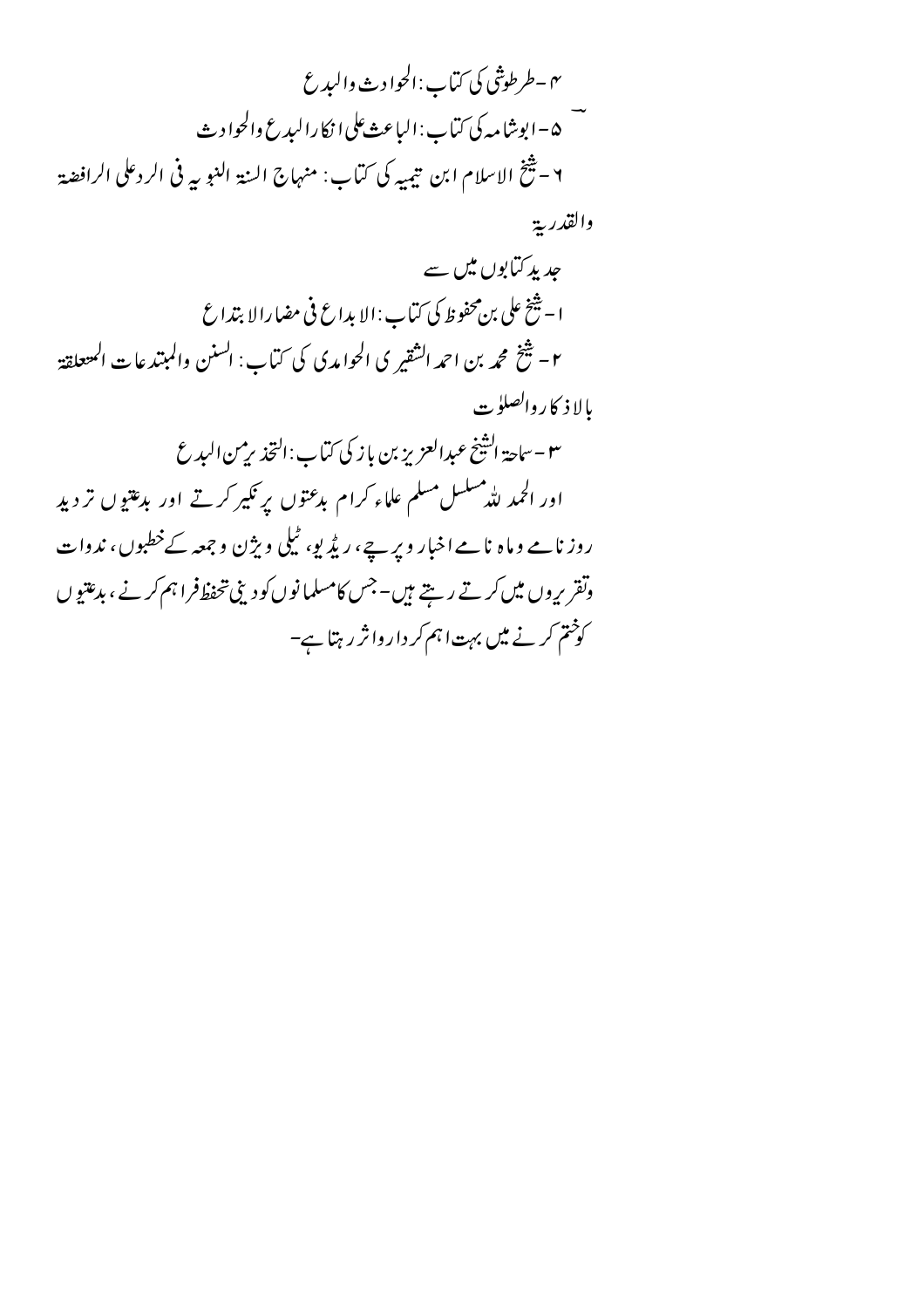۴ – طرطوثني کي کتاب :الحوادث واليدع —<br>۵ – ابوشامه کې کتاب : الباعث علي ا نکارالېدغ والحواد ث ٢ – يُنْتَخ الاسلام ابن تيميه كي كتاب: منهاج السنة النبويه في الردعلي الرافضة والقدرية جدید کتابوں میں سے ا – شَيْخ على بن محفوظ كي كيّاب : الإيداع في مضارالا بتداع ٢- شَخْ محمه بن احمه الشَّقير ي الحوامدي كي كتَّاب: السنن والمبتدعات المتعلقة بالإ ذ كار والصلوت ٣ - ساحة الشَّيخ عبدالعزيز بن باز كي كتاب: التحذير من البدع اور الحمد لله مسلسل مسلم علماء کرام بدعتوں پر نکیر کرتے اور بدعتیوں تر دید روز نامے وماہ نامے اخبار ویر ہے، ریڈیو، ٹیلی ویژن وجہجہ کےخطبوں، ندوات وتقریروں میں کرتے رہتے ہیں۔جس کامسلمانوں کودینی تحفظ فراہم کرنے ، بدعتیوں کوختم کرنے میں بہت اہم کر داروا ثر رہتا ہے-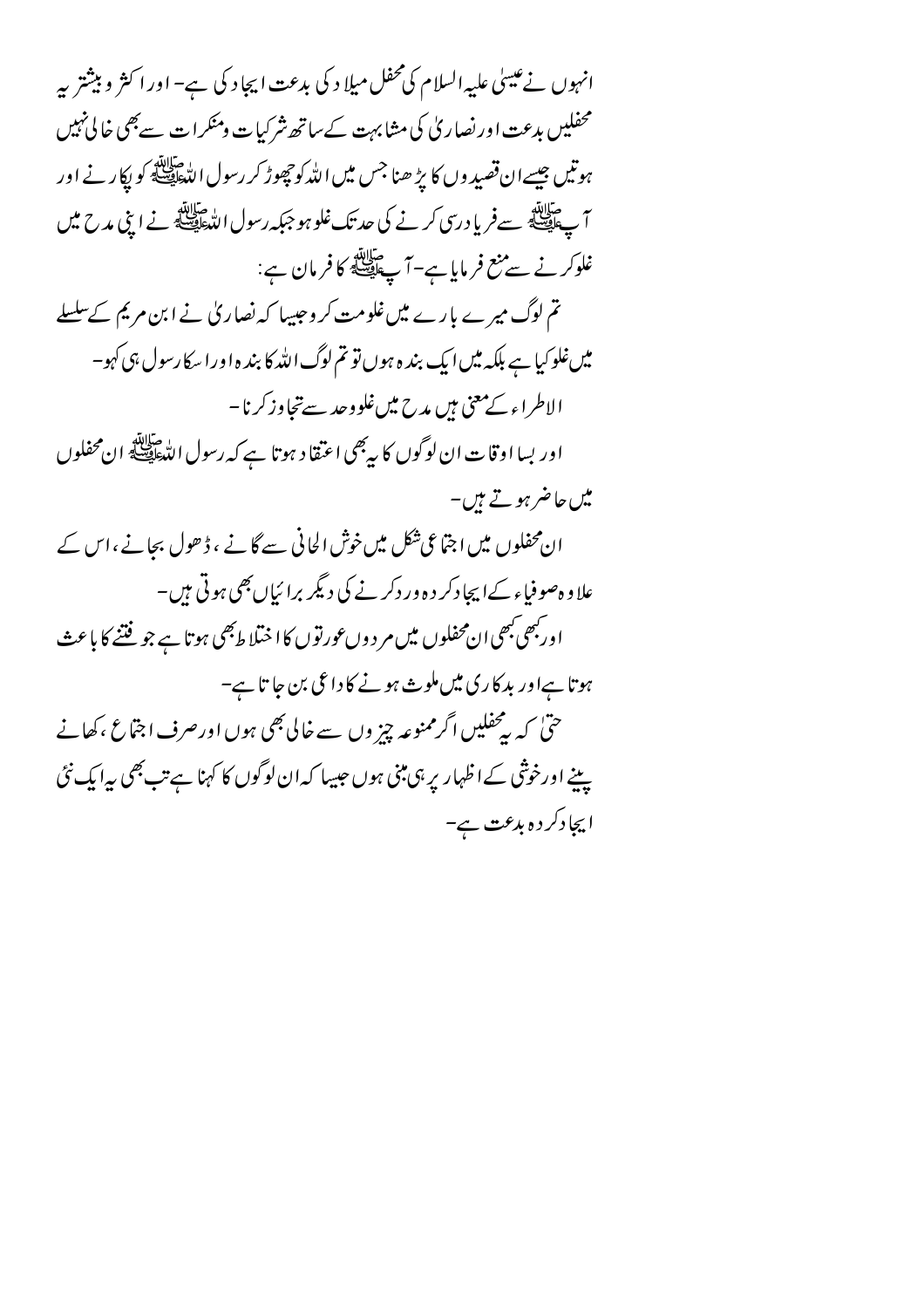انہوں نے عیسیٰ علیہ السلام کی محفل میلا د کی بدعت ایجاد کی ہے– اور اکثر و بیشتر پہ محفلیں بدعت اور نصار پی کی مثابہت کے ساتھ شرکیات ومنکرات سے بھی خالی نہیں ہوتیں جیسے ان قصید وں کا ہڑ ھنا جس میں اللّٰہ کو چھوڑ کر رسول اللّٰہﷺ کو بِکار نے اور آ پ اتنا ہے۔<br>آ پ اپنے سے ضربا درسی کرنے کی حد تک غلو ہو جبکہ رسول اللہﷺ نے اپنی مدح میں غلوكر نے سے منع فرمایا ہے–آ پے پہلے کا فرمان ہے: تم لوگ میرے بارے میںغلومت کر وجیسا کہ نصار کی نے ابن مریم کےسلسلے میںغلو کیا ہے بلکہ میں ایک بند ہ ہوں تو تم لوگ اللہ کا بند ہ اور اسکا رسول ہی کہو۔ الاطراء کےمعنی ہیں مدح میںغلووجد سےتجاوزکرنا – اور بسااوقات ان لوگوں کا بیبھی اعتقاد ہوتا ہے کہ رسول الدّعلق ان محفلوں میں حاضر ہوتے ہیں۔ ان محفلوں میں اجتماعی شکل میں خوش الحانی سے گانے ، ڈھول بجانے ،اس کے علا و ہصوفیاء کے ایجا دکر د ہ ور دکر نے کی دیگر برا ئیاں بھی ہوتی ہیں۔ اور جھی جھی ان محفلوں میں مر د وں عورتوں کا اختلا ط<sup>ب</sup>ھی ہوتا ہے جو فتنے کا باعث ہوتا ہےاور بد کاری میں ملوث ہونے کا داعی بن جا تا ہے-حتیٰ کہ برمحفلیں اگرممنوعہ چیز وں سے خالی بھی ہوں اورصرف اجتماع ،کھانے پنے اورخوشی کےاظہار پر ہی مبنی ہوں جیپیا کہ ان لوگوں کا کہنا ہے تب بھی پہ ایک نئی ا بچادکر د ہ بدعت ہے-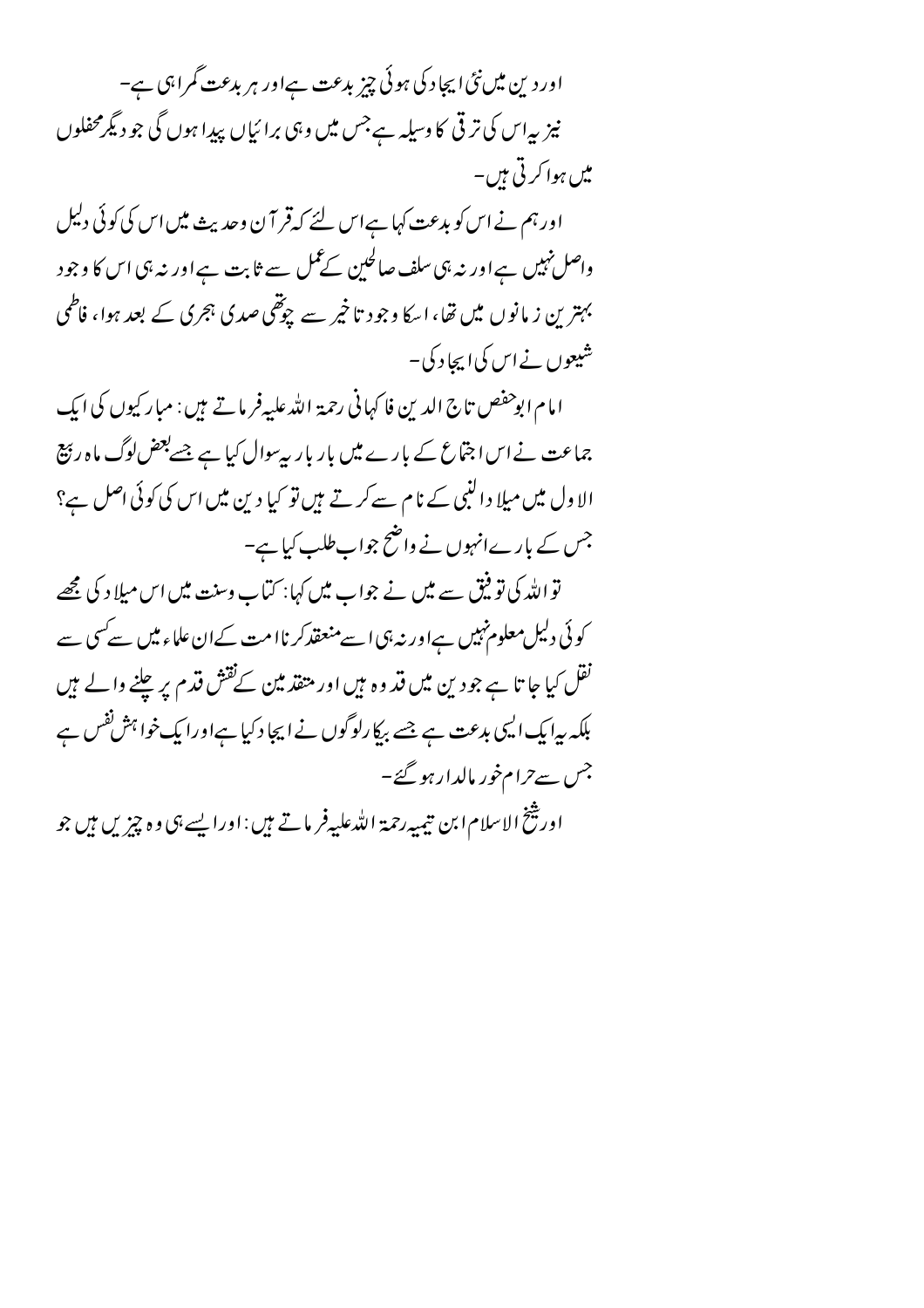اور دین میں نئی ایجاد کی ہوئی چز بدعت ہےاور ہر بدعت گمراہی ہے-نیز پیاس کی تر قی کا وسیلہ ہےجس میں وہی برائیاں پیدا ہوں گی جو دیگرمحفلوں میں ہوا کرتی ہیں۔

اورہم نے اس کو بدعت کہا ہےاس لئے کہ قر آن وحدیث میں اس کی کوئی دلیل واصل نہیں ہے اور نہ ہی سلف صالحین کے عمل سے ثابت ہے اور نہ ہی اس کا وجود بہترین زمانوں میں تھا، اسکا وجود تاخیر سے چوتھی صدی ہجری کے بعد ہوا، فاطمی شیعوں نے اس کی ایجا د کی۔

امام ابوحفص تاج الدين فاكهاني رحمة الله عليه فرماتے ہيں : مبار كيوں كى ايك جماعت نے اس اجتماع کے بارے میں بار بار پہ سوال کیا ہے جسے بعض لوگ ماہ رہیج الاول میں میلا دالنبی کے نام سے کرتے ہیں تو کیا دین میں اس کی کوئی اصل ہے؟ جس کے بارےانہوں نے واضح جواب طلب کیا ہے-

تو اللہ کی تو فیق سے میں نے جواب میں کہا: کتماب وسنت میں اس میلا د کی مجھے کوئی دلیل معلوم نہیں ہےاور نہ ہی اسے منعقدکر ناامت کےان علماء میں سے سی سے نقل کیا جا تا ہے جو دین میں قد وہ ہیں اور متفذ مین کےنقش قدم پر چلنے والے ہیں بلکہ پیا یک ایپی بدعت ہے جسے بیکا رلوگوں نے ایجا دکیا ہےاورا یک خواہش نفس ہے جس سے حرام خور مالدار ہو گئے۔ اور بینخ الاسلام ابن تیمیه رحمة الله علیه فر ما تے ہیں : اور ایسے ہی وہ چیز یں ہیں جو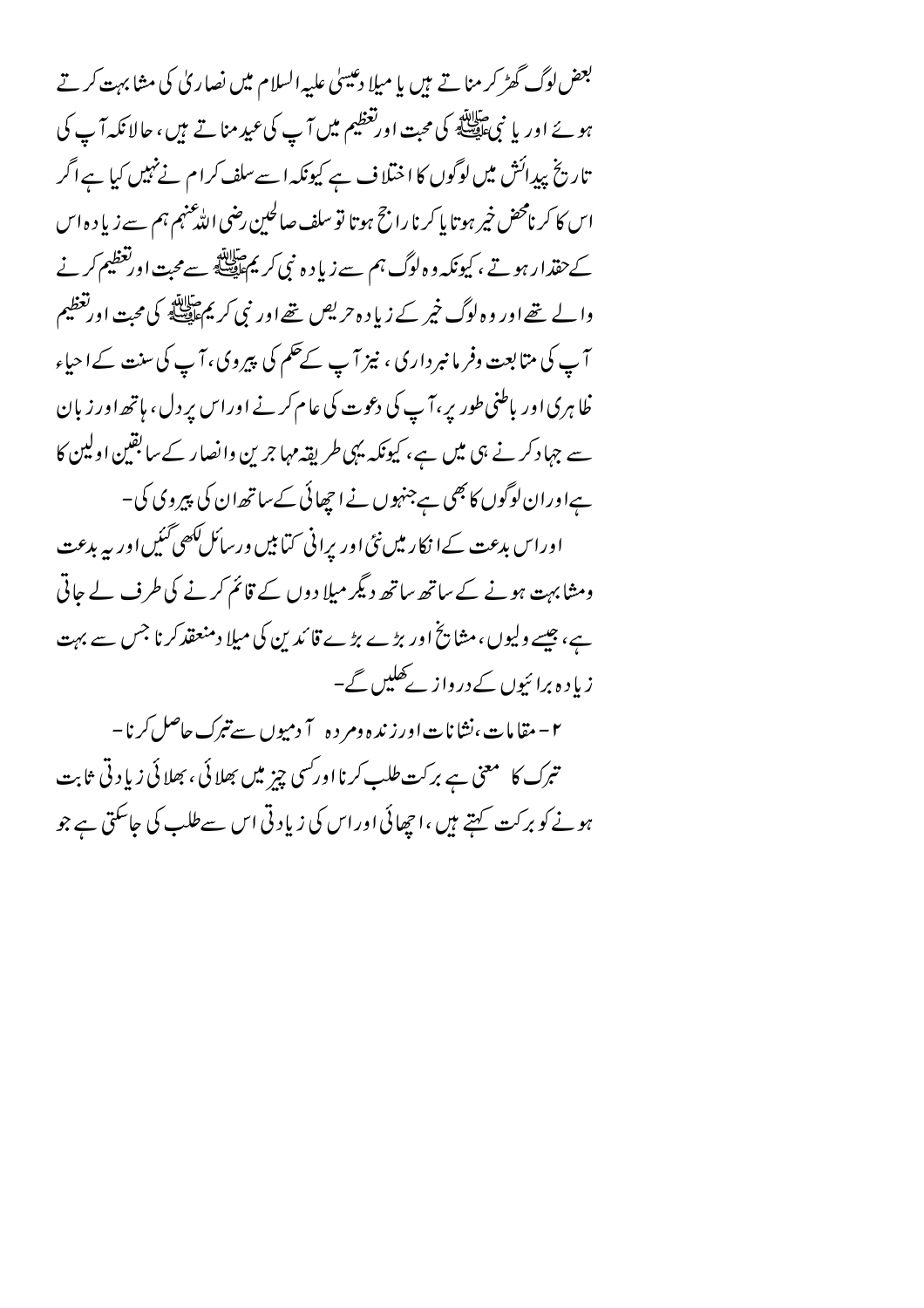بعض لوگ گھڑ کر منا تے ہیں یا میلا دعیسیٰ علیہ السلام میں نصاریٰ کی مشابہت کرتے ہوئے اور یا نبیﷺ کی محبت اورتعظیم میں آپ کی عید مناتے ہیں، حالانکہ آپ کی تاریخ پیدائش میں لوگوں کا اختلاف ہے کیونکہ اسےسلف کرام نےنہیں کیا ہے اگر اس کا کر نامحض خیر ہوتا پا کرنا راجح ہوتا تو سلف صالحین رضی اللّٰہ عنہم ہم سے زیا د ہ اس کے حقدار ہو تے ، کیونکہ و ہ لوگ ہم سے زیا د ہ نبی کر یم علاقلی سے محبت اور تعظیم کر نے والے تھے اور وہ لوگ خیر کے زیاد ہ حریص تھے اور نبی کریم ﷺ کی محت اورتغظیم آپ کی متابعت وفر ما نبر داری ، نیز آپ کےحکم کی پیروی، آپ کی سنت کے احیاء ظاہری اور باطنی طور پر،آپ کی دعوت کی عام کرنے اوراس پر دل، ہاتھ اور زبان سے جہاد کرنے ہی میں ہے، کیونکہ یہی طریقہ مہاجرین وانصار کے سابقین اولین کا ہےاوران لوگوں کا بھی ہےجنہوں نے اچھائی کے ساتھ ان کی پیروی کی – اوراس بدعت کےا نکار میں نئی اور پرانی کتابیں ورسائل کھی گئیں اور پہ بدعت ومشابہت ہونے کے ساتھ ساتھ دیگر میلا دوں کے قائم کرنے کی طرف لے جاتی ہے، جیسے ولیوں ، مشایخ اور بڑے بڑے قائد بن کی میلا دمنعقد کرنا جس سے بہت زیادہ برائیوں کے درواز کےکھلیں گے۔

۲ – مقامات،نشانات اورزنده ومر ده آ دمیوں سے تبرک حاصل کرنا – تبرک کا معنی ہے برکت طلب کرنااورکسی چیز میں بھلائی ، بھلائی زیاد تی ثابت ہونے کو برکت کہتے ہیں ،اچھائی اوراس کی زیادتی اس سے طلب کی جاسکتی ہے جو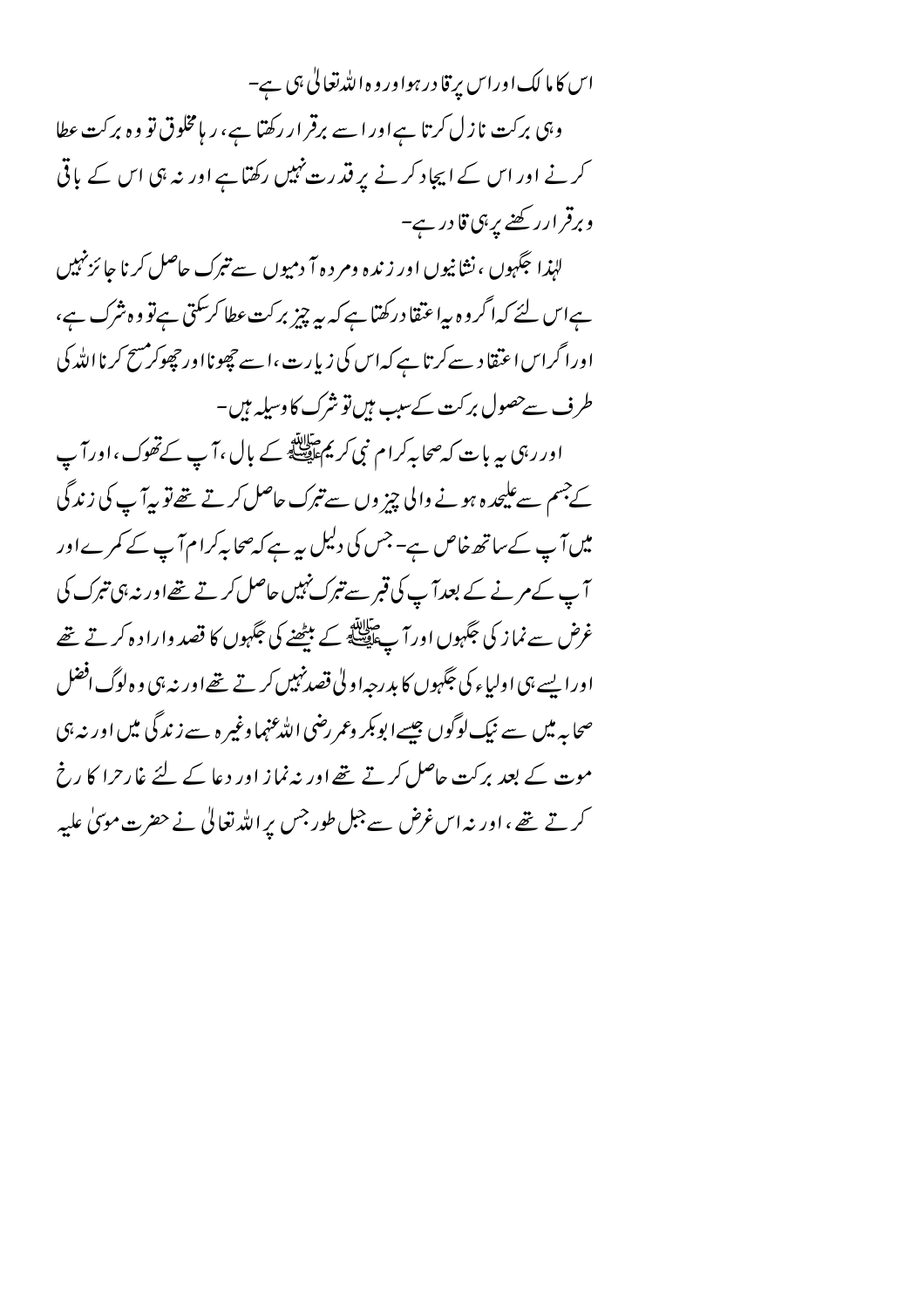اس کا ما لک اوراس پر قادر ہواور و ہ اللہ تعالیٰ ہی ہے۔ وہی برکت نازل کرتا ہےاور اسے برقرار رکھتا ہے، ر ہامخلوق تو وہ برکت عطا کرنے اور اس کے ایجاد کرنے پر قدرت نہیں رکھتاہے اور نہ ہی اس کے باقی وبرقرارر کھنے پر ہی قادر ہے۔ لہٰذا جگہوں ، نشانیوں اور زندہ ومر د ہ7 دمیوں سے تبرک حاصل کرنا جا ئزنہیں ہےاس لئے کہاگروہ پیاعتقادرکھتاہے کہ پیہ چیز برکت عطا کر سکتی ہے تو وہ شرک ہے، اورا گراس اعتقاد سے کرتا ہے کہ اس کی زیارت ،اسے چھونااور چھوکرمسح کرنااللہ کی طرف سےحصول برکت کےسب ہیںتو شرک کا وسیلہ ہیں۔ اور رہی ہہ بات کہ صحابہ کرام نبی کر یم ایک ہے جال ،آپ کے تھوک ،اور آپ کے جسم سے علیحد ہ ہونے والی چز وں سے تبرک حاصل کرتے تھے تو یہ آپ کی زندگی میں آپ کے ساتھ خاص ہے- جس کی دلیل پیرہے کہ صحابہ کرام آپ کے کمرےاور آپ کے مرنے کے بعد آپ کی قبر سے تبرک نہیں حاصل کرتے تھےاور نہ ہی تبرک کی غرض سے نماز کی جَکہوں اور آ پے ایللہ کے بیٹھنے کی جَکہوں کا قصد وارا د ہ کرتے تھے اورا پسے ہی اولیاء کی جگہوں کا بد رجہ اولیٰ قصدنہیں کر تے تھےاور نہ ہی وہ لوگ افضل صحابہ میں سے نیک لوگوں جیسے ابو بکر وعمر رضی اللہ عنہما وغیر ہ سے زندگی میں اور نہ ہی موت کے بعد برکت حاصل کرتے تھے اور نہ نماز اور دعا کے لئے غارحرا کا رخ کرتے تھے ،اور نہ اس غرض سے جبل طور جس پر اللہ تعالٰی نے حضرت موںٰی علیہ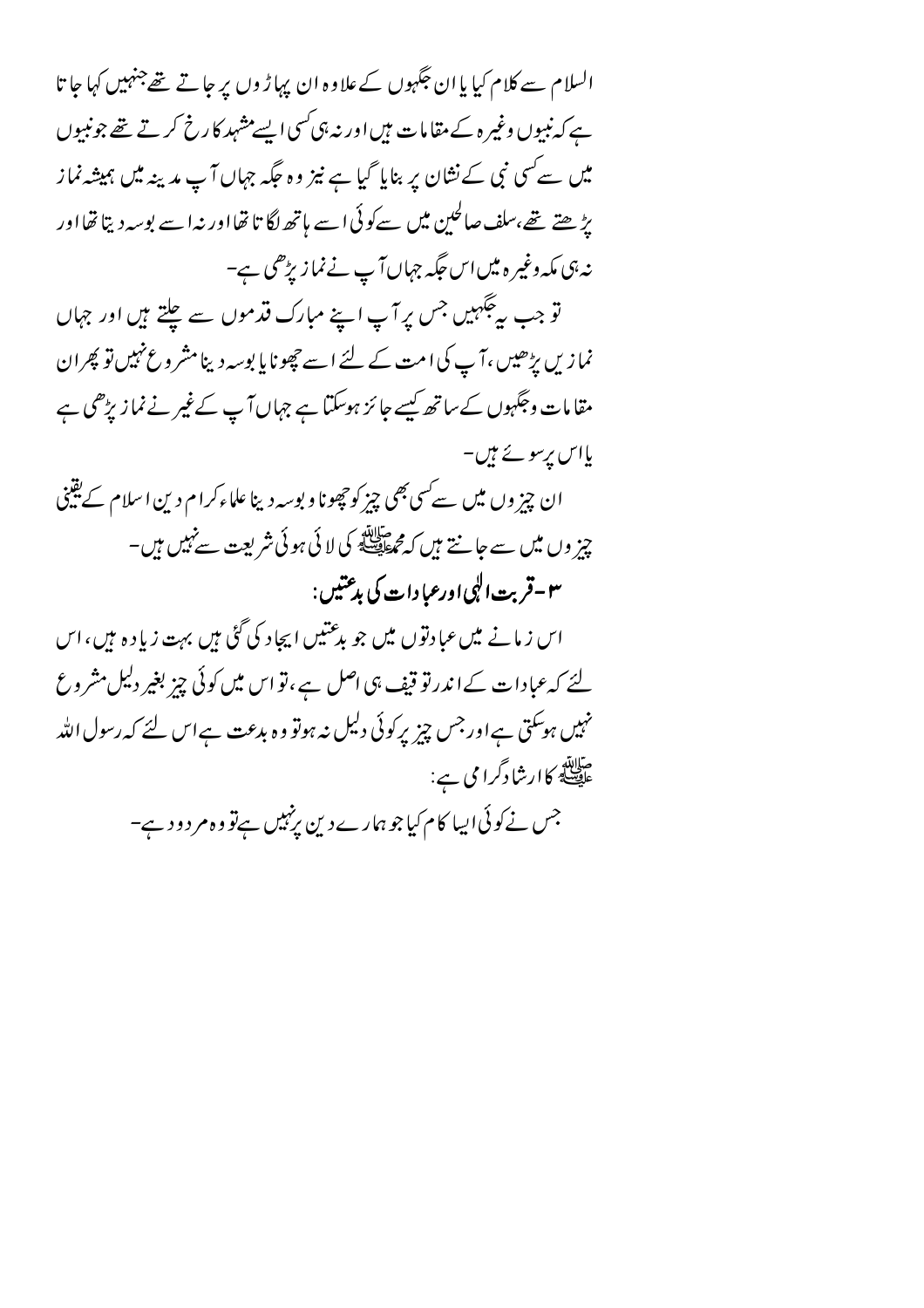السلام سے کلام کیا یا ان جگہوں کے علاوہ ان پہاڑ وں پر جاتے تھےجنہیں کہا جا تا ہے کہ نبیوں وغیرہ کے مقامات ہیںاور نہ ہی کسی ایسے مشہد کارخ کرتے تھے جونبیوں میں سے کسی نبی کے نشان پر بنایا گیا ہے نیز وہ جگہ جہاں آ پ مدینہ میں ہمیشہ نماز پڑھتے تھے،سلف صالحین میں سے کوئی اسے ہاتھ لگا تا تھااور نہ اسے بوسہ دیتا تھااور نہ ہی مکہ وغیر ہ میں اس حگیہ جہاں آپ نے نما زیڑھی ہے-

تو جب ہے گبہیں جس پر آپ اپنے مبارک قدموں سے چلتے ہیں اور جہاں نما زیں پڑھیں ،آ پ کی امت کے لئے اسے چھونا یا بوسہ دینامشر وعنہیں تو پھران مقامات وجگہوں کے ساتھ کیسے جائز ہوسکتا ہے جہاں آپ کے غیر نے نماز پڑھی ہے پااس پرسونے ہیں۔

ان چیز وں میں سے سی بھی چیز کو چھونا و بوسہ دینا علماءکرام دین اسلام کے یقینی چز وں میں سے جانتے ہیں کہ مجھ اللہ کی لائی ہوئی شریعت سے نہیں ہیں۔ ٣-قريت الپي اورعيادات کي بدعتيں :

اس ز مانے میں عبادتوں میں جو بدعتیں ایجاد کی گئی ہیں بہت زیادہ ہیں،اس لئے کہ عبا دات کے اندرتو قیف ہی اصل ہے ، تو اس میں کوئی چیز بغیر دلیل مشر وع نہیں ہوسکتی ہےاورجس چیز پرکوئی دلیل نہ ہوتو وہ بدعت ہےاس لئے کہ رسول اللہ میلاتھ<br>علی کارشادگرامی ہے: جس نے کوئی ایبا کام کیا جوہمارے دین پرنہیں ہےتو وہ مر دود ہے–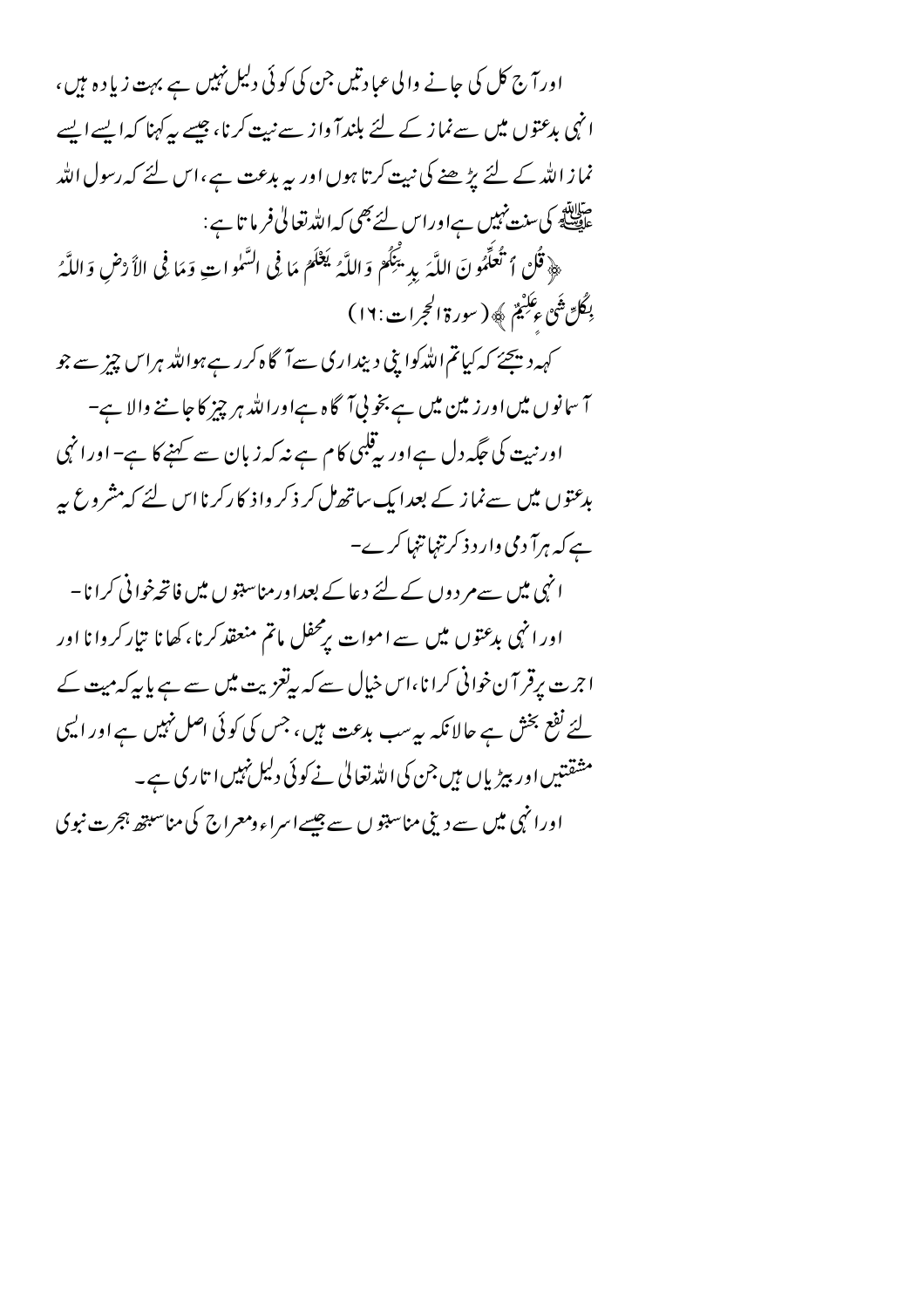اور آج کل کی جانے والی عبادتیں جن کی کوئی دلیل نہیں ہے بہت زیادہ ہیں ، انہی بدعتوں میں سے نماز کے لئے بلندا واز سے نیت کرنا، جیسے بیہ کہنا کہ ایسے ایسے نماز اللہ کے لئے بڑ ھنے کی نیت کرتا ہوں اور یہ بدعت ہے،اس لئے کہ رسول اللہ منابقہ<br>علی ایک کی سنت نہیں ہےاوراس لئے بھی کہ اللہ تعالیٰ فرما تا ہے : ﴿ قُلْ ٱ تُعلِّمُونَ اللَّهَ بِدِينِكُمْ وَاللَّهُ يَعْلَمُ مَا فِي السَّمُواتِ وَمَا فِي الأَرْضِ وَاللَّهُ بِكُلِّ ثَبَىٰ ءِكَبِيْمٌ ﴾ ( سورة الحجرات: ١٦) کہہ دیجئے کہ کیاتم اللّٰہ کوا بنی دینداری سےآگاہ کررہے ہواللّٰہ ہراس چیز سے جو آ سانوں میں اور زمین میں ہے بخو پی آگاہ ہےاوراللہ ہر چیز کا جاننے والا ہے۔ اورنیت کی جگہ دل ہےاور بی<sup>قلب</sup>ی کام ہے نہ کہ زبان سے کہنے کا ہے-اورا نہی بدعتوں میں سے نماز کے بعد ایک ساتھ مل کر ذکر واذ کا رکرنا اس لئے کہ مشروع پہ ہے کہ ہرآ دمی وار د ذکر تنہا تنہا کرے– انہی میں سےم دوں کے لئے دعا کے بعداورمناسبتوں میں فاتحہ خوانی کرانا – اور انہی بدعتوں میں سے اموات برمحفل ماتم منعقد کرنا، کھانا تیار کروانا اور اجرت پرقر آن خوانی کرانا،اس خیال سے کہ بہتعزیت میں سے ہے پا پہ کہ میت کے لئے نفع بخش ہے حالانکہ بہرسب بدعت ہیں، جس کی کوئی اصل نہیں ہے اور ایہی مشقتیں اور پیڑیاں ہیں جن کی اللہ تعالیٰ نے کوئی دلیل نہیں ا تاری ہے۔ اورا نہی میں سے دینی مناسبتو ں سے جیسے اسراء ومعراج کی مناسبتھ ہجرت نبوی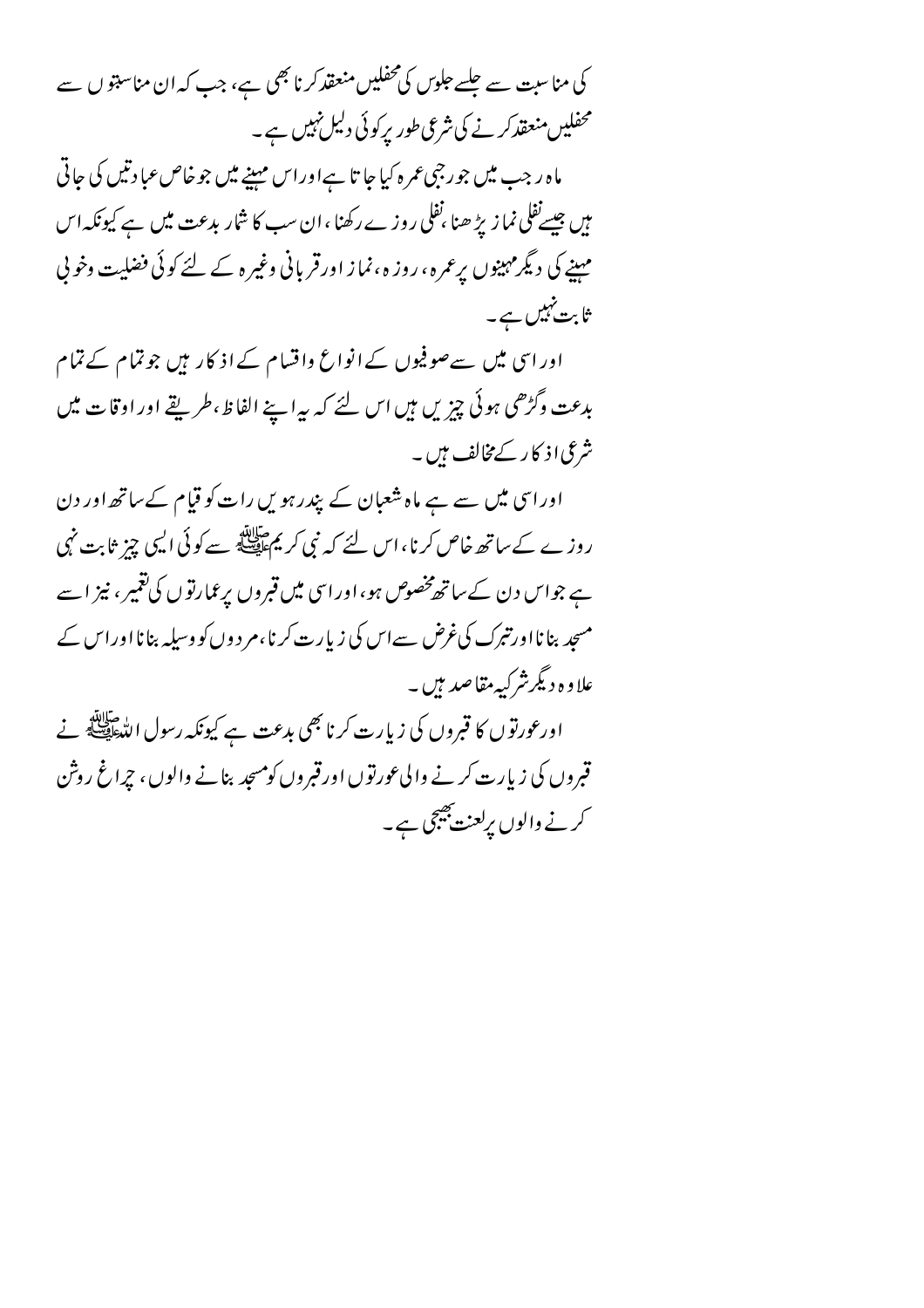کی مناسبت سے جلسے جلوں کی محفلیں منعقد کرنا بھی ہے، جب کہ ان مناسبتو ں سے محفلیں منعقد کرنے کی شرعی طور پرکوئی دلیل نہیں ہے۔

ماہ رجب میں جورجی عمرہ کیا جا تا ہےاوراس مہینے میں جو خاص عبادتیں کی جاتی مہیں جیسےنفلی نما زیڑ ھنا ،نفلی روز ے رکھنا ،ان سب کا شار بدعت میں ہے کیونکہ اس مہینے کی دیگرمہینوں پرعمرہ ، روز ہ ،نماز اورقر بانی وغیر ہ کے لئے کوئی فضلیت وخو پی ثا بت نہیں ہے۔

اور اسی میں سےصوفیوں کے انواع واقسام کے اذ کار ہیں جوتمام کے تمام بدعت وگڑھی ہوئی چیزیں ہیں اس لئے کہ بیرا پنے الفاظ،طریقے اوراوقات میں شرعی اذ کار کے مخالف ہیں۔

اوراسی میں سے ہے ماہ شعبان کے پندرہویں رات کو قیام کے ساتھ اور دن روز ے کے ساتھ خاص کرنا، اس لئے کہ نبی کر یمﷺ سے کوئی ایسی چِز ثابت نہی ہے جواس دن کے ساتھ مخصوص ہو، اور اسی میں قبروں پرعمارتوں کی تغمیر ، نیز اسے مسجد بنا نا اورتبرک کی غرض سے اس کی زیارت کرنا،م ر دوں کو وسیلہ بنا نا اور اس کے علاوہ دیگرشر کیہ مقاصد ہیں ۔

اورعورتوں کا قبروں کی زیارت کرنا بھی بدعت ہے کیونکہ رسول اللہﷺ نے قبروں کی زیارت کرنے والی عورتوں اورقبروں کومسجد بنانے والوں ، جراغ روش کرنے والوں پرلعنت جیجی ہے۔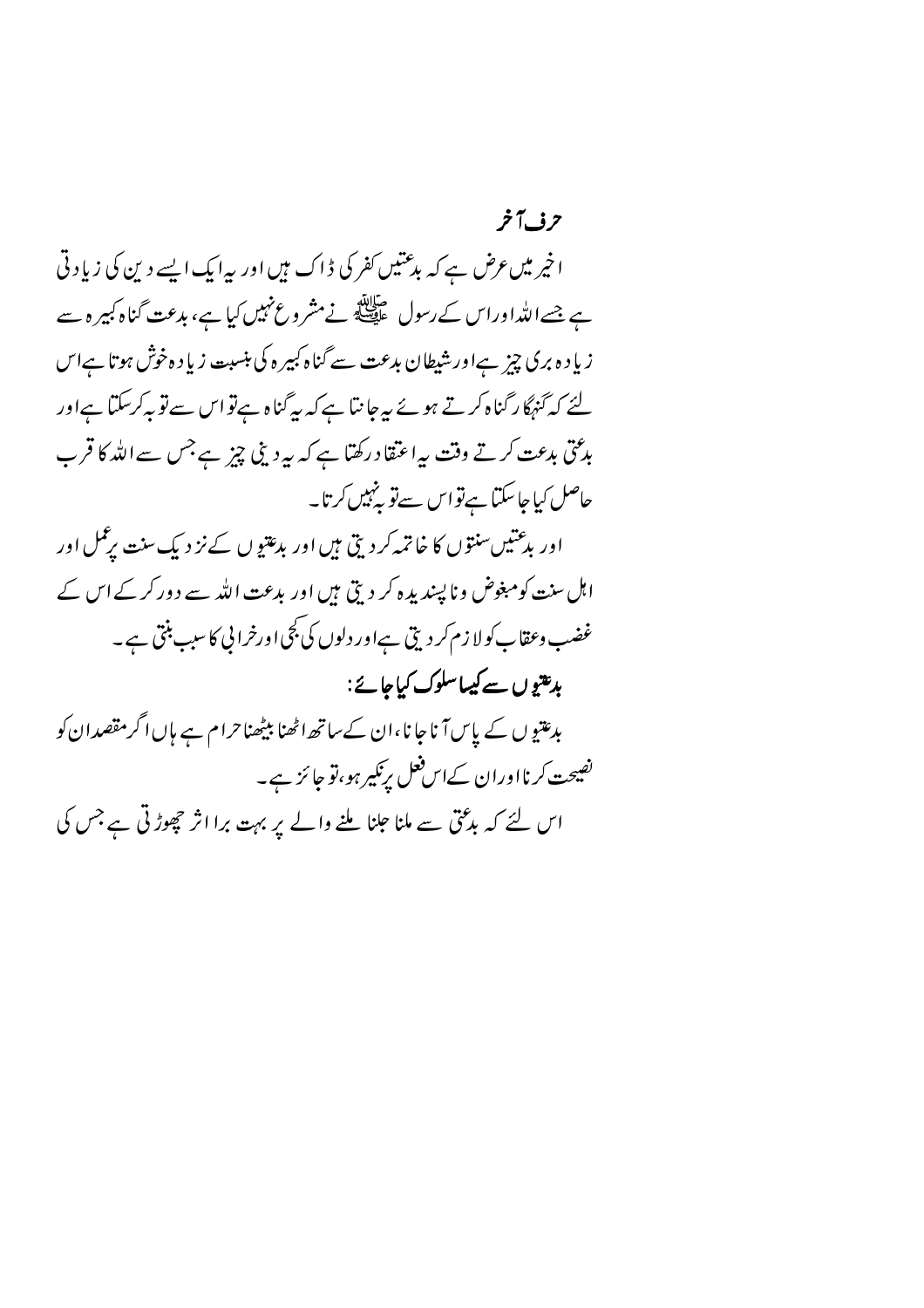اخپر میں عرض ہے کہ بدعتیں کفر کی ڈاک میں اور پہ ایک ایسے دین کی زیادتی ہے جسےاللہٰاوراس کے رسول علیقی نے مشروع نہیں کیا ہے، بدعت گناہ کبیرہ سے زیا د ہ بری چز ہےاور شیطان بدعت سے گناہ کبیر ہ کی بنسبت زیا د ہ خوش ہوتا ہےاس لئے کہ گنہگا رگناہ کرتے ہوئے پیرجا نتا ہے کہ بیرگناہ ہےتو اس سےتو بہ کرسکتا ہےاور بدعتی بدعت کرتے وقت بہاعتقاد رکھتا ہے کہ بہ دینی چیز ہے جس سے اللہ کا قرب حاصل کیا جا سکتا ہےتو اس سےتو پنہیں کرتا۔

اور بدعتیںسنتوں کا خاتمہ کردیتی ہیں اور بدعتیوں کے نز دیک سنت برعمل اور اہل سنت کومبغوض وناپسندیدہ کر دیتی ہیں اور بدعت اللہ سے دور کرکے اس کے غضب وعقاب کولا زم کر دیتی ہےاور دلوں کی بجی اورخرانی کا سبب بنتی ہے۔ بدعتوں سے کیساسلوک کیاجائے:

بدعتیو ں کے پاس آنا جا نا،ان کےساتھ اٹھنا بیٹھنا حرام ہے ہاں اگر مقصدان کو نصیحت کرنااوران کےاس فعل برنکیر ہو،تو جا ئز ہے۔

اس لئے کہ بدُمْتی سے ملنا علنا ملنے والے پر بہت برا اثر حچھوڑتی ہے جس کی

## حرف آخر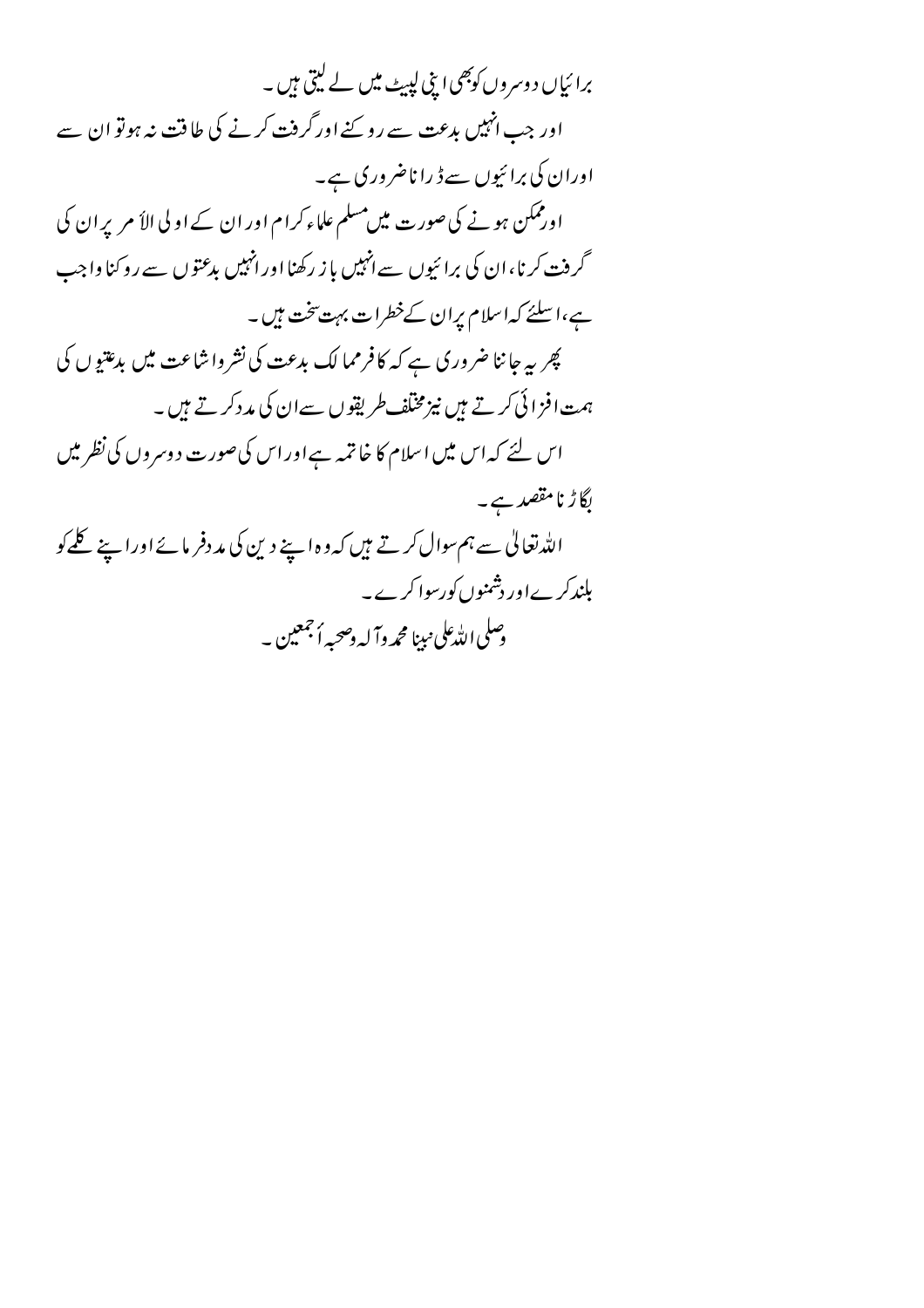برا ئیاں د وسر وں کوبھی اپنی لپیٹ میں لے لیتی ہیں ۔ اور جب انہیں بدعت سے رو پنے اور گرفت کرنے کی طاقت نہ ہوتو ان سے اوران کی برائیوں سے ڈ را ناضروری ہے۔ اورممکن ہونے کی صورت میں مسلم علماء کرام اور ان کے اولی الأ مریر ان کی گرفت کرنا، ان کی برائیوں سے انہیں باز رکھنا اور انہیں بدعتوں سے روکنا واجب ہے،اسلئے کہاسلام پران کےخطرات بہت تخت ہیں۔ پھر یہ جا ننا ضروری ہے کہ کا فرمما لک بدعت کی نشرواشاعت میں بدعتیوں کی ہمت افزائی کرتے ہیں نیزمخلف طریقوں سےان کی مد دکرتے ہیں۔ اس لئے کہ اس میں اسلام کا خاتمہ ہے اور اس کی صورت دوسروں کی نظر میں لگاڑ نامقصد ہے۔ اللہ تعالٰی سے ہم سوال کرتے ہیں کہ وہ اپنے دین کی مددفر مائے اوراپنے کلے کو بلند کرےاور دشمنوں کورسوا کرے۔ وسلى الله على نبينا محم**رداً له دصحيه أ**جمعين به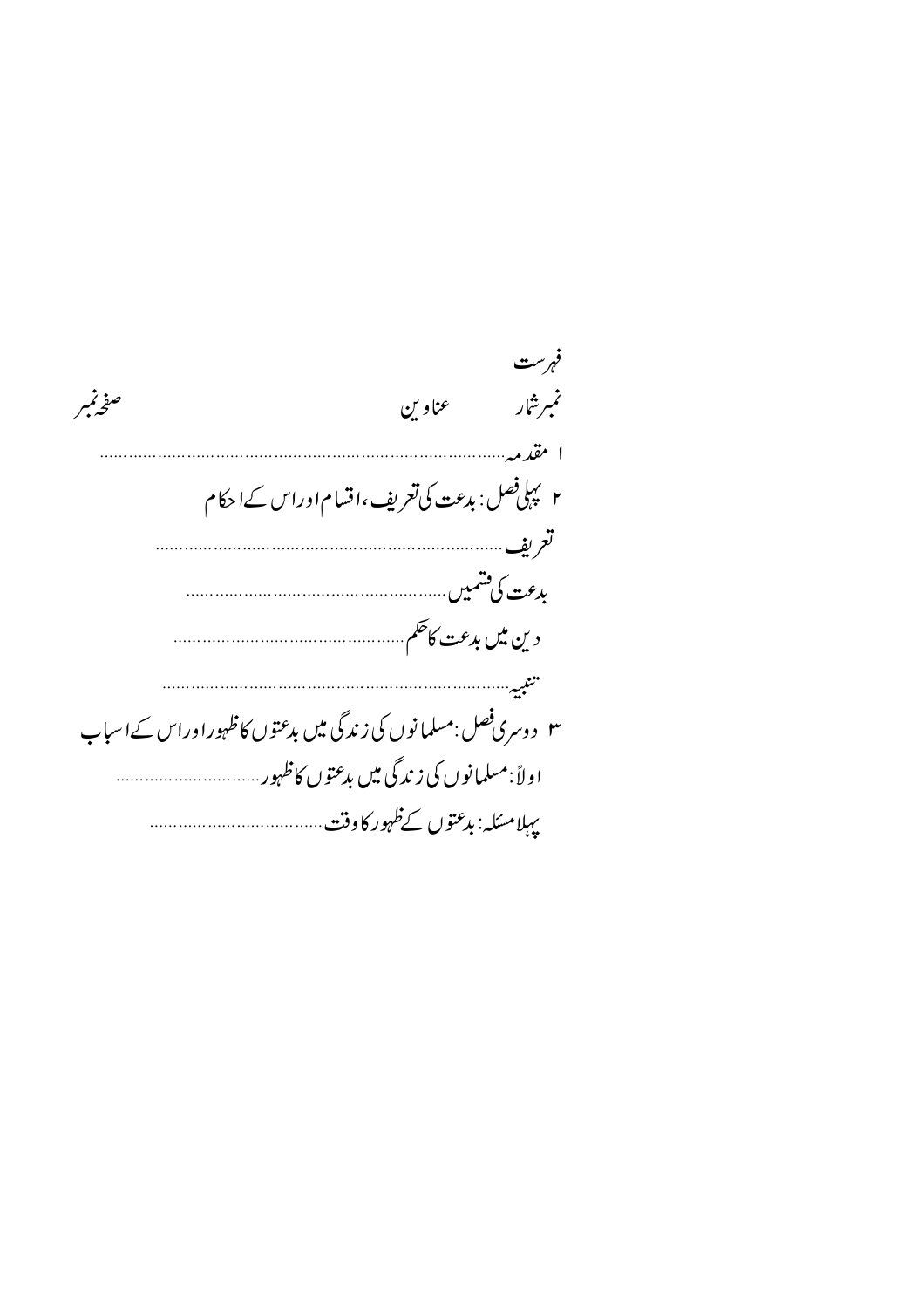|                                                                  |                                                  | فهرست   |
|------------------------------------------------------------------|--------------------------------------------------|---------|
| صفرنمبر                                                          | عناوين                                           | نمبرشار |
|                                                                  |                                                  | ا مقدمہ |
|                                                                  | ۲ پہلی فصل : بدعت کی تعریف ،اقسام اوراس کے احکام |         |
|                                                                  |                                                  |         |
|                                                                  |                                                  |         |
|                                                                  |                                                  |         |
|                                                                  |                                                  |         |
| ۳   د وسری فصل :مسلمانوں کی زندگی میں بدعتوں کاظہوراوراس کےاسباب |                                                  |         |
|                                                                  |                                                  |         |
|                                                                  |                                                  |         |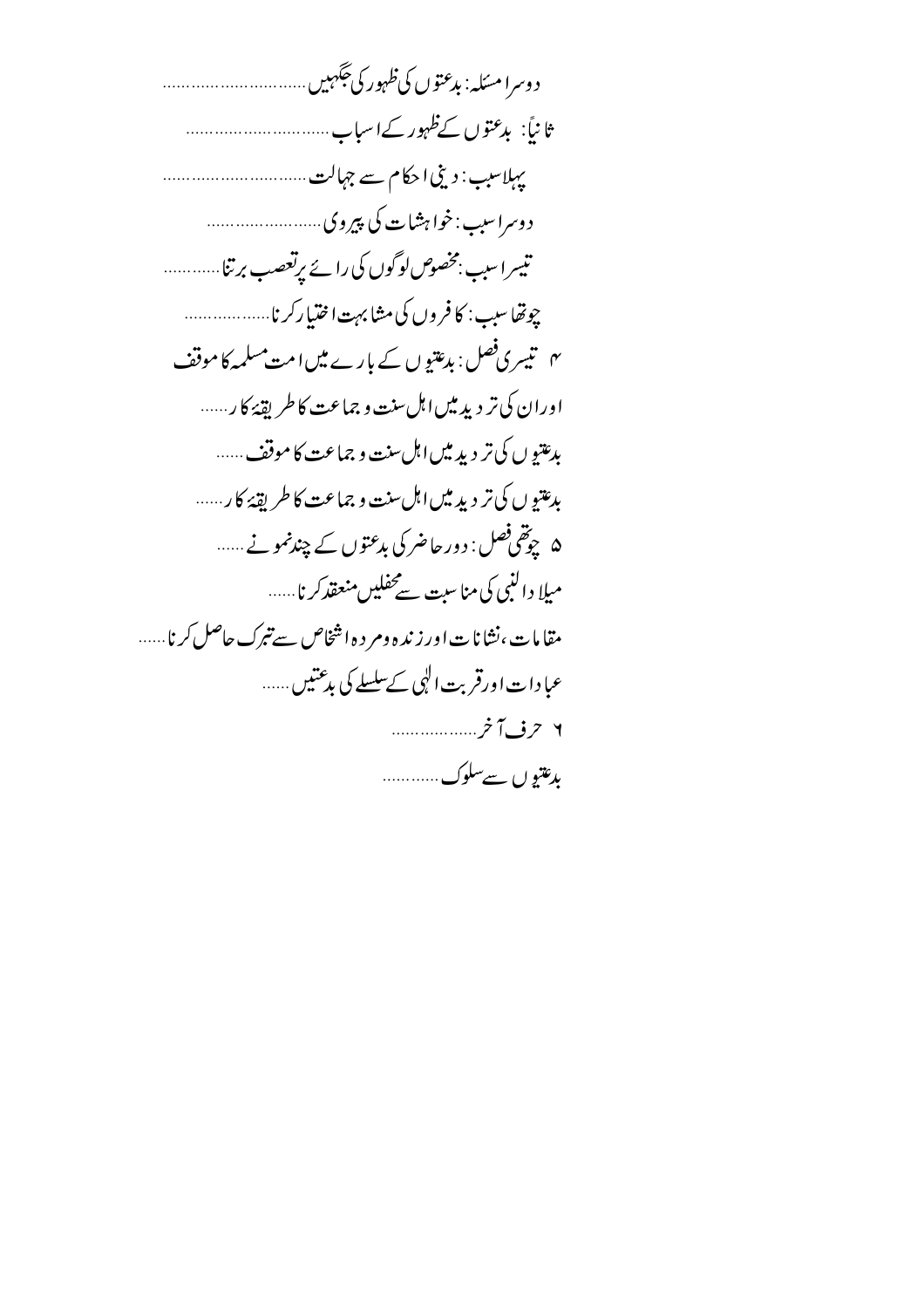| ثانياً: بدعتوں کےظہور کےاسباب                                  |
|----------------------------------------------------------------|
| بہلاسب : دینی احکام سے جہالت                                   |
|                                                                |
| تیسراسب بخصوص لوگوں کی رائے پرتعصب برتنا                       |
| چوتھاسىب : كافروں كى مشابہت اختياركرنا                         |
| <sup>ہم</sup> تیسری فصل: بدعتیوں کے بارے میں امت مسلمہ کا موقف |
| اوران کی تر دید میں اہل سنت و جماعت کا طریقۂ کار               |
| بدعتیو ں کی تر دید میں اہل سنت و جماعت کا موقف ……              |
| بدعتيو ں کی تر ديد ميں اہل سنت و جماعت کا طريقۂ کار            |
| ۵   چوتھی فصل : دورحاضر کی بدعتوں کے چندنمونے                  |
| میلا دالنبی کی مناسبت سےمحفلیںمنعقدکر نا                       |
| مقامات،نشانات اور زنده ومر د ه اشخاص سے تبرک حاصل کرنا         |
| عبادات اورقربت ال <sub>ک</sub> ی کےسلسلے کی بد <i>عتی</i> ں    |
| ۲ حرف آخر                                                      |
| بدعتيو ں سےسلوک                                                |